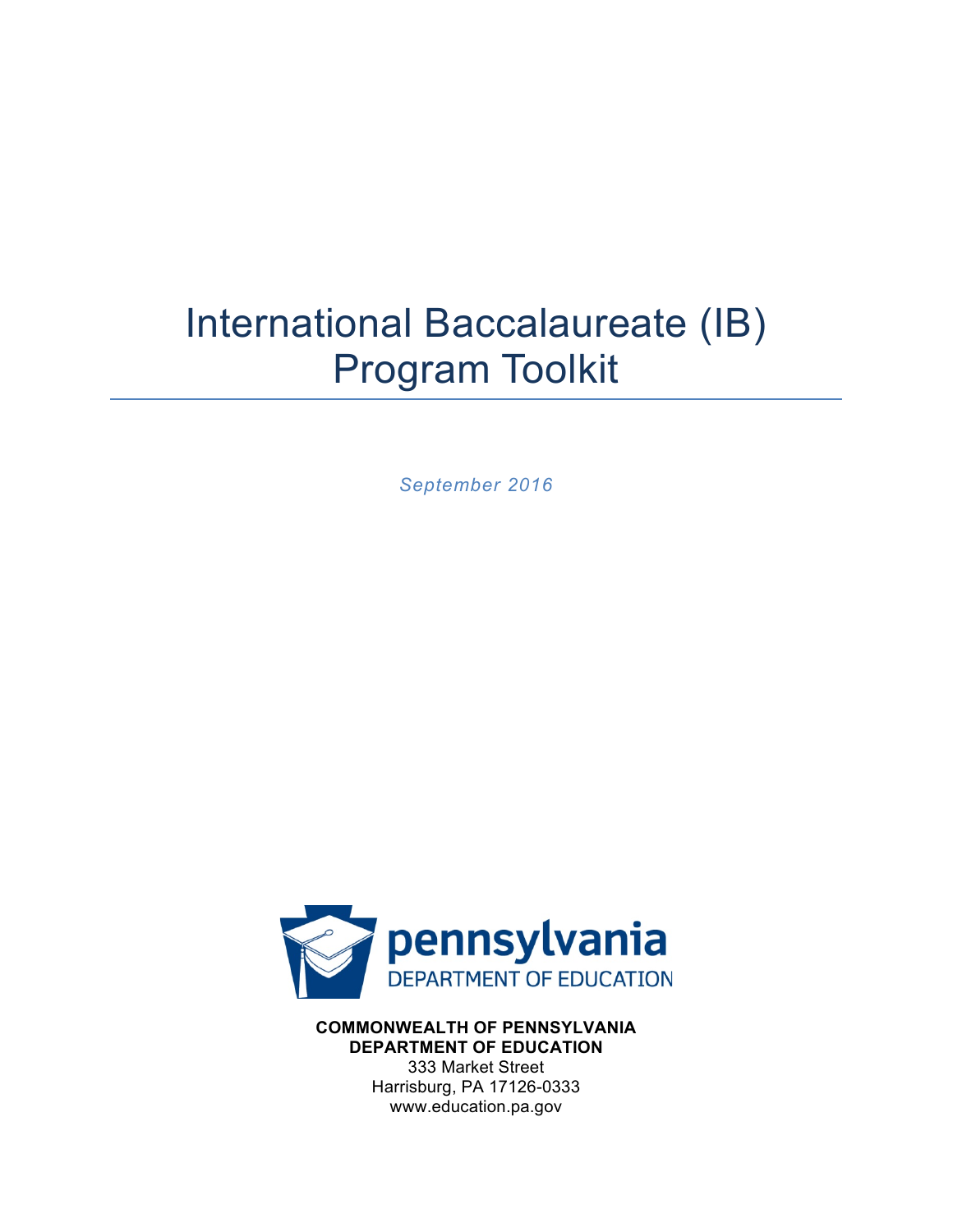# International Baccalaureate (IB) Program Toolkit

*September 2016*



**COMMONWEALTH OF PENNSYLVANIA DEPARTMENT OF EDUCATION** 333 Market Street Harrisburg, PA 17126-0333 www.education.pa.gov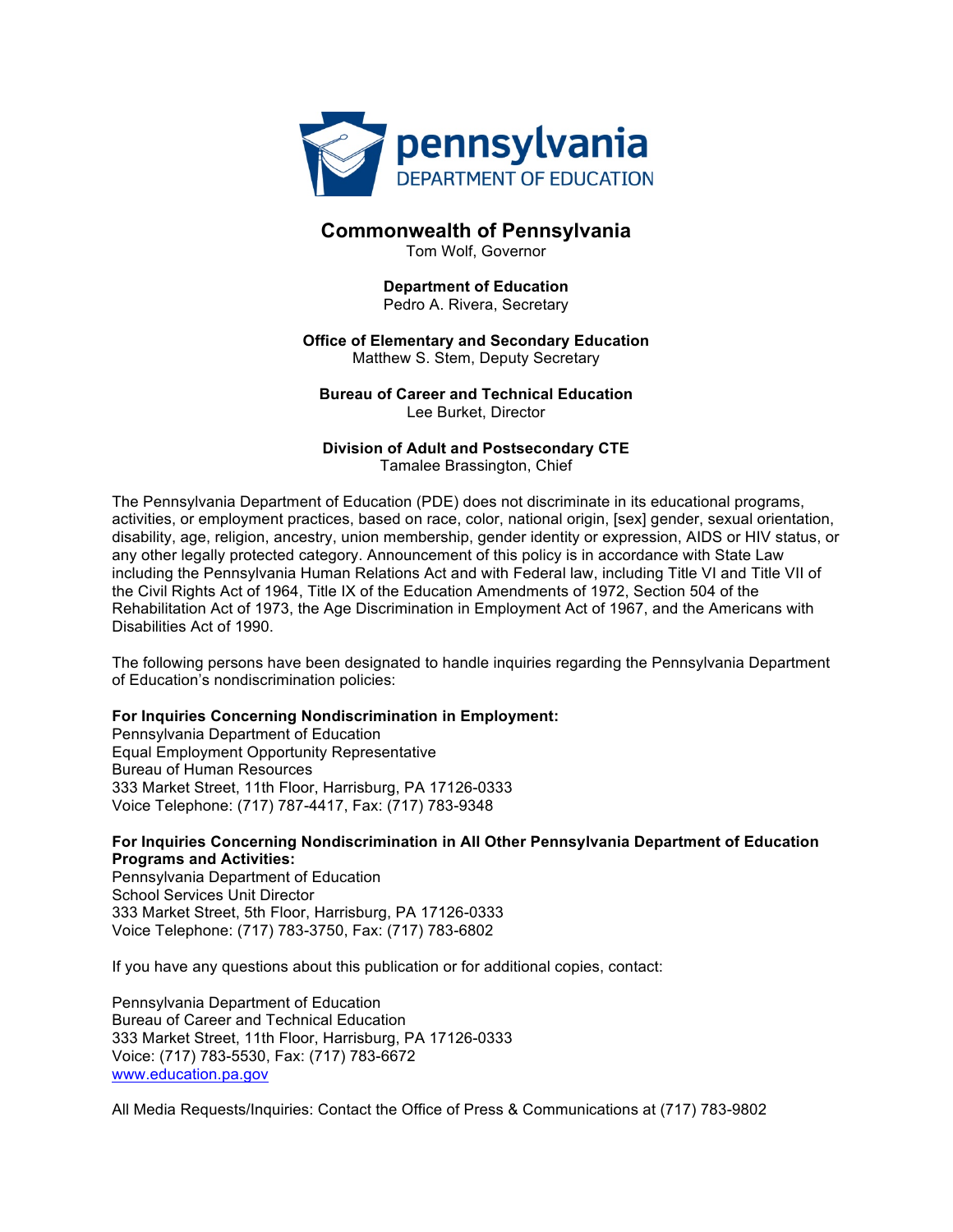

#### **Commonwealth of Pennsylvania**

Tom Wolf, Governor

#### **Department of Education** Pedro A. Rivera, Secretary

#### **Office of Elementary and Secondary Education** Matthew S. Stem, Deputy Secretary

**Bureau of Career and Technical Education** Lee Burket, Director

**Division of Adult and Postsecondary CTE** Tamalee Brassington, Chief

The Pennsylvania Department of Education (PDE) does not discriminate in its educational programs, activities, or employment practices, based on race, color, national origin, [sex] gender, sexual orientation, disability, age, religion, ancestry, union membership, gender identity or expression, AIDS or HIV status, or any other legally protected category. Announcement of this policy is in accordance with State Law including the Pennsylvania Human Relations Act and with Federal law, including Title VI and Title VII of the Civil Rights Act of 1964, Title IX of the Education Amendments of 1972, Section 504 of the Rehabilitation Act of 1973, the Age Discrimination in Employment Act of 1967, and the Americans with Disabilities Act of 1990.

The following persons have been designated to handle inquiries regarding the Pennsylvania Department of Education's nondiscrimination policies:

#### **For Inquiries Concerning Nondiscrimination in Employment:**

Pennsylvania Department of Education Equal Employment Opportunity Representative Bureau of Human Resources 333 Market Street, 11th Floor, Harrisburg, PA 17126-0333 Voice Telephone: (717) 787-4417, Fax: (717) 783-9348

#### **For Inquiries Concerning Nondiscrimination in All Other Pennsylvania Department of Education Programs and Activities:**

Pennsylvania Department of Education School Services Unit Director 333 Market Street, 5th Floor, Harrisburg, PA 17126-0333 Voice Telephone: (717) 783-3750, Fax: (717) 783-6802

If you have any questions about this publication or for additional copies, contact:

Pennsylvania Department of Education Bureau of Career and Technical Education 333 Market Street, 11th Floor, Harrisburg, PA 17126-0333 Voice: (717) 783-5530, Fax: (717) 783-6672 www.education.pa.gov

All Media Requests/Inquiries: Contact the Office of Press & Communications at (717) 783-9802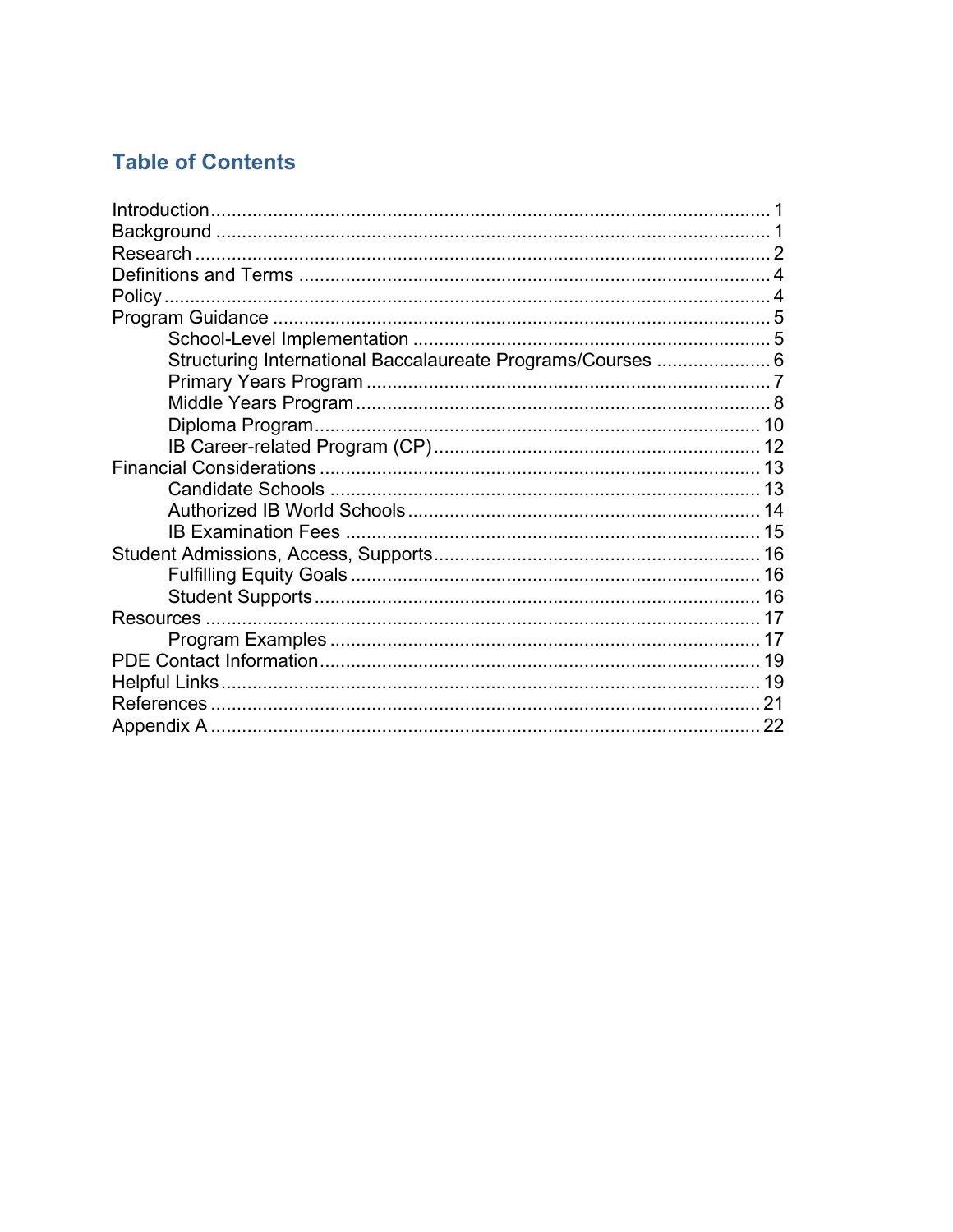## **Table of Contents**

| Structuring International Baccalaureate Programs/Courses  6 |  |
|-------------------------------------------------------------|--|
|                                                             |  |
|                                                             |  |
|                                                             |  |
|                                                             |  |
|                                                             |  |
|                                                             |  |
|                                                             |  |
|                                                             |  |
|                                                             |  |
|                                                             |  |
|                                                             |  |
|                                                             |  |
|                                                             |  |
|                                                             |  |
|                                                             |  |
|                                                             |  |
|                                                             |  |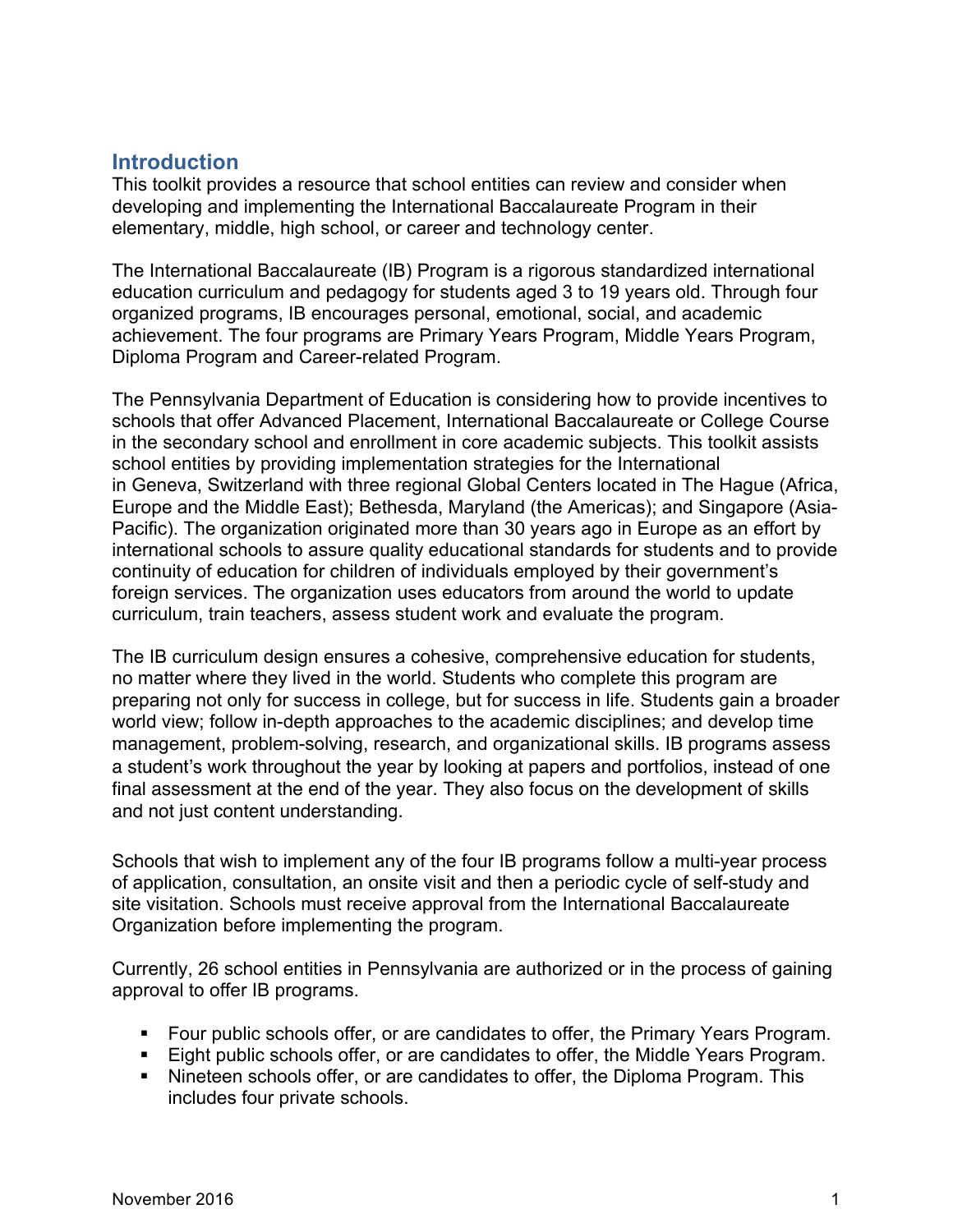## **Introduction**

This toolkit provides a resource that school entities can review and consider when developing and implementing the International Baccalaureate Program in their elementary, middle, high school, or career and technology center.

The International Baccalaureate (IB) Program is a rigorous standardized international education curriculum and pedagogy for students aged 3 to 19 years old. Through four organized programs, IB encourages personal, emotional, social, and academic achievement. The four programs are Primary Years Program, Middle Years Program, Diploma Program and Career-related Program.

The Pennsylvania Department of Education is considering how to provide incentives to schools that offer Advanced Placement, International Baccalaureate or College Course in the secondary school and enrollment in core academic subjects. This toolkit assists school entities by providing implementation strategies for the International in Geneva, Switzerland with three regional Global Centers located in The Hague (Africa, Europe and the Middle East); Bethesda, Maryland (the Americas); and Singapore (Asia-Pacific). The organization originated more than 30 years ago in Europe as an effort by international schools to assure quality educational standards for students and to provide continuity of education for children of individuals employed by their government's foreign services. The organization uses educators from around the world to update curriculum, train teachers, assess student work and evaluate the program.

The IB curriculum design ensures a cohesive, comprehensive education for students, no matter where they lived in the world. Students who complete this program are preparing not only for success in college, but for success in life. Students gain a broader world view; follow in-depth approaches to the academic disciplines; and develop time management, problem-solving, research, and organizational skills. IB programs assess a student's work throughout the year by looking at papers and portfolios, instead of one final assessment at the end of the year. They also focus on the development of skills and not just content understanding.

Schools that wish to implement any of the four IB programs follow a multi-year process of application, consultation, an onsite visit and then a periodic cycle of self-study and site visitation. Schools must receive approval from the International Baccalaureate Organization before implementing the program.

Currently, 26 school entities in Pennsylvania are authorized or in the process of gaining approval to offer IB programs.

- § Four public schools offer, or are candidates to offer, the Primary Years Program.
- Eight public schools offer, or are candidates to offer, the Middle Years Program.
- Nineteen schools offer, or are candidates to offer, the Diploma Program. This includes four private schools.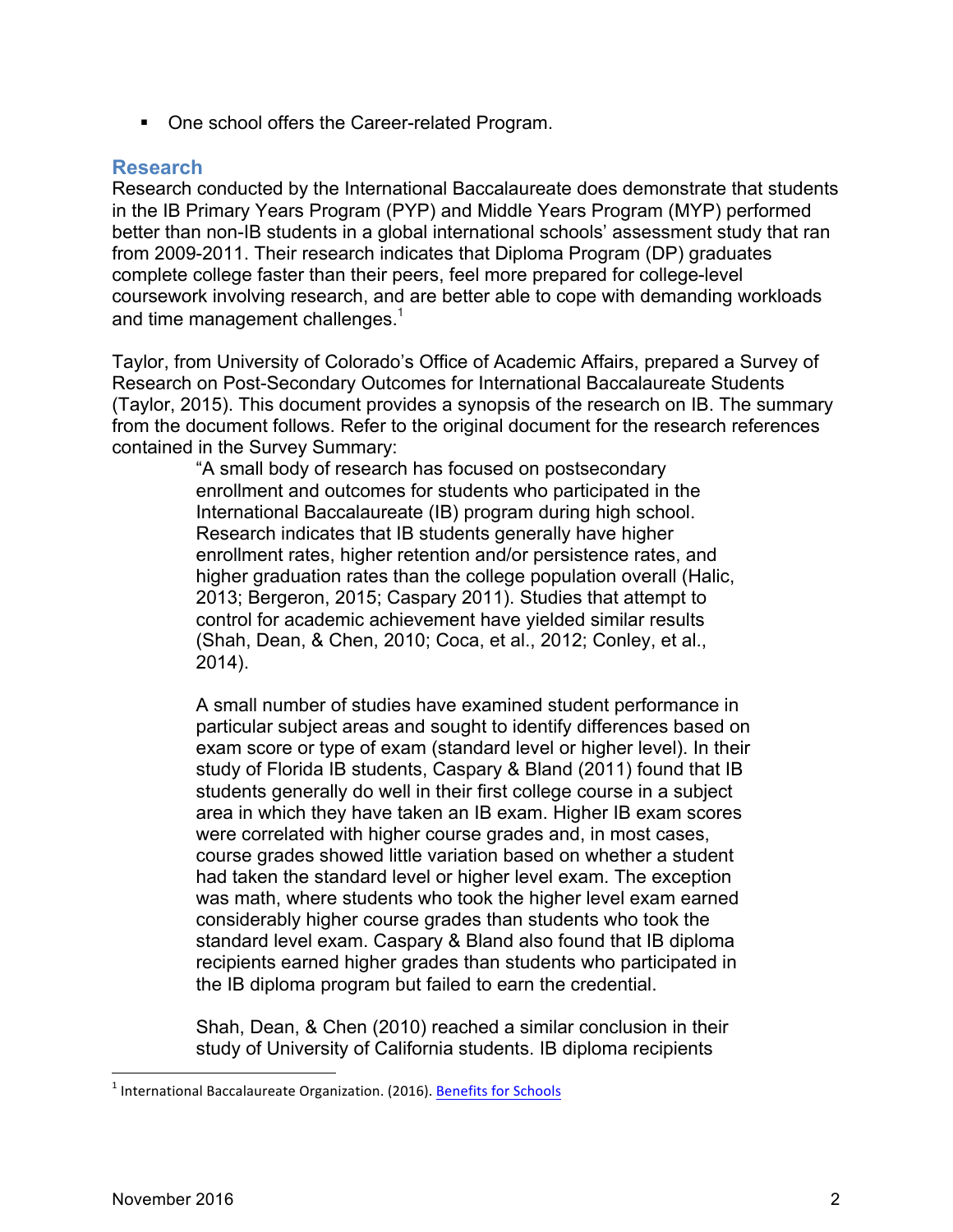■ One school offers the Career-related Program.

#### **Research**

Research conducted by the International Baccalaureate does demonstrate that students in the IB Primary Years Program (PYP) and Middle Years Program (MYP) performed better than non-IB students in a global international schools' assessment study that ran from 2009-2011. Their research indicates that Diploma Program (DP) graduates complete college faster than their peers, feel more prepared for college-level coursework involving research, and are better able to cope with demanding workloads and time management challenges.<sup>1</sup>

Taylor, from University of Colorado's Office of Academic Affairs, prepared a Survey of Research on Post-Secondary Outcomes for International Baccalaureate Students (Taylor, 2015). This document provides a synopsis of the research on IB. The summary from the document follows. Refer to the original document for the research references contained in the Survey Summary:

> "A small body of research has focused on postsecondary enrollment and outcomes for students who participated in the International Baccalaureate (IB) program during high school. Research indicates that IB students generally have higher enrollment rates, higher retention and/or persistence rates, and higher graduation rates than the college population overall (Halic, 2013; Bergeron, 2015; Caspary 2011). Studies that attempt to control for academic achievement have yielded similar results (Shah, Dean, & Chen, 2010; Coca, et al., 2012; Conley, et al., 2014).

A small number of studies have examined student performance in particular subject areas and sought to identify differences based on exam score or type of exam (standard level or higher level). In their study of Florida IB students, Caspary & Bland (2011) found that IB students generally do well in their first college course in a subject area in which they have taken an IB exam. Higher IB exam scores were correlated with higher course grades and, in most cases, course grades showed little variation based on whether a student had taken the standard level or higher level exam. The exception was math, where students who took the higher level exam earned considerably higher course grades than students who took the standard level exam. Caspary & Bland also found that IB diploma recipients earned higher grades than students who participated in the IB diploma program but failed to earn the credential.

Shah, Dean, & Chen (2010) reached a similar conclusion in their study of University of California students. IB diploma recipients

 $<sup>1</sup>$  International Baccalaureate Organization. (2016). Benefits for Schools</sup>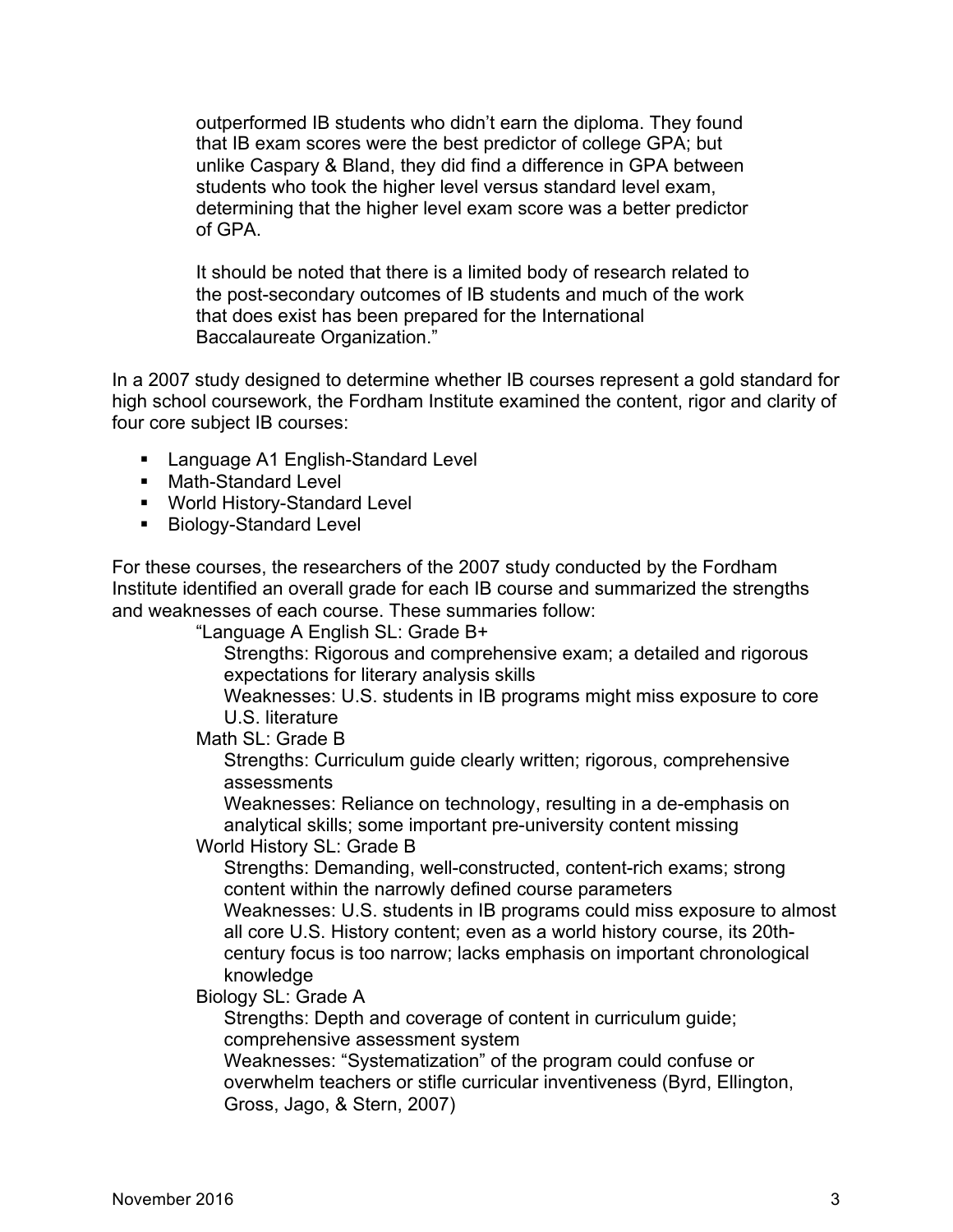outperformed IB students who didn't earn the diploma. They found that IB exam scores were the best predictor of college GPA; but unlike Caspary & Bland, they did find a difference in GPA between students who took the higher level versus standard level exam, determining that the higher level exam score was a better predictor of GPA.

It should be noted that there is a limited body of research related to the post-secondary outcomes of IB students and much of the work that does exist has been prepared for the International Baccalaureate Organization."

In a 2007 study designed to determine whether IB courses represent a gold standard for high school coursework, the Fordham Institute examined the content, rigor and clarity of four core subject IB courses:

- Language A1 English-Standard Level
- Math-Standard Level
- World History-Standard Level
- Biology-Standard Level

For these courses, the researchers of the 2007 study conducted by the Fordham Institute identified an overall grade for each IB course and summarized the strengths and weaknesses of each course. These summaries follow:

"Language A English SL: Grade B+

Strengths: Rigorous and comprehensive exam; a detailed and rigorous expectations for literary analysis skills

Weaknesses: U.S. students in IB programs might miss exposure to core U.S. literature

Math SL: Grade B

Strengths: Curriculum guide clearly written; rigorous, comprehensive assessments

Weaknesses: Reliance on technology, resulting in a de-emphasis on analytical skills; some important pre-university content missing

World History SL: Grade B

Strengths: Demanding, well-constructed, content-rich exams; strong content within the narrowly defined course parameters

Weaknesses: U.S. students in IB programs could miss exposure to almost all core U.S. History content; even as a world history course, its 20thcentury focus is too narrow; lacks emphasis on important chronological knowledge

Biology SL: Grade A

Strengths: Depth and coverage of content in curriculum guide; comprehensive assessment system

Weaknesses: "Systematization" of the program could confuse or overwhelm teachers or stifle curricular inventiveness (Byrd, Ellington, Gross, Jago, & Stern, 2007)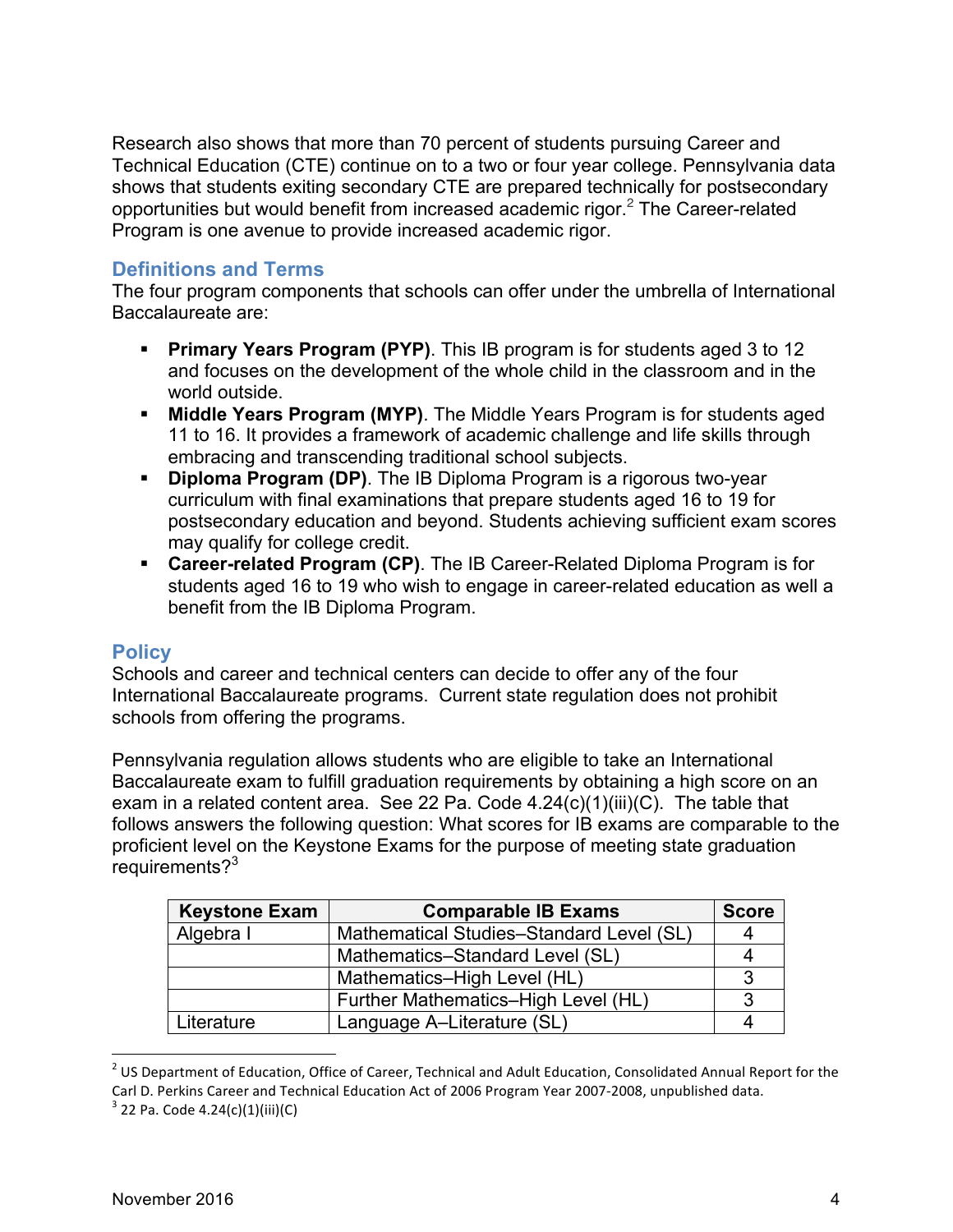Research also shows that more than 70 percent of students pursuing Career and Technical Education (CTE) continue on to a two or four year college. Pennsylvania data shows that students exiting secondary CTE are prepared technically for postsecondary opportunities but would benefit from increased academic rigor.<sup>2</sup> The Career-related Program is one avenue to provide increased academic rigor.

#### **Definitions and Terms**

The four program components that schools can offer under the umbrella of International Baccalaureate are:

- **Primary Years Program (PYP)**. This IB program is for students aged 3 to 12 and focuses on the development of the whole child in the classroom and in the world outside.
- § **Middle Years Program (MYP)**. The Middle Years Program is for students aged 11 to 16. It provides a framework of academic challenge and life skills through embracing and transcending traditional school subjects.
- § **Diploma Program (DP)**. The IB Diploma Program is a rigorous two-year curriculum with final examinations that prepare students aged 16 to 19 for postsecondary education and beyond. Students achieving sufficient exam scores may qualify for college credit.
- § **Career-related Program (CP)**. The IB Career-Related Diploma Program is for students aged 16 to 19 who wish to engage in career-related education as well a benefit from the IB Diploma Program.

#### **Policy**

Schools and career and technical centers can decide to offer any of the four International Baccalaureate programs. Current state regulation does not prohibit schools from offering the programs.

Pennsylvania regulation allows students who are eligible to take an International Baccalaureate exam to fulfill graduation requirements by obtaining a high score on an exam in a related content area. See 22 Pa. Code 4.24(c)(1)(iii)(C). The table that follows answers the following question: What scores for IB exams are comparable to the proficient level on the Keystone Exams for the purpose of meeting state graduation requirements?<sup>3</sup>

| <b>Keystone Exam</b> | <b>Comparable IB Exams</b>               | <b>Score</b> |
|----------------------|------------------------------------------|--------------|
| Algebra I            | Mathematical Studies-Standard Level (SL) |              |
|                      | Mathematics-Standard Level (SL)          |              |
|                      | Mathematics-High Level (HL)              | 3            |
|                      | Further Mathematics-High Level (HL)      | 3            |
| Literature           | Language A-Literature (SL)               |              |

 $<sup>2</sup>$  US Department of Education, Office of Career, Technical and Adult Education, Consolidated Annual Report for the</sup> Carl D. Perkins Career and Technical Education Act of 2006 Program Year 2007-2008, unpublished data.

 $3$  22 Pa. Code 4.24(c)(1)(iii)(C)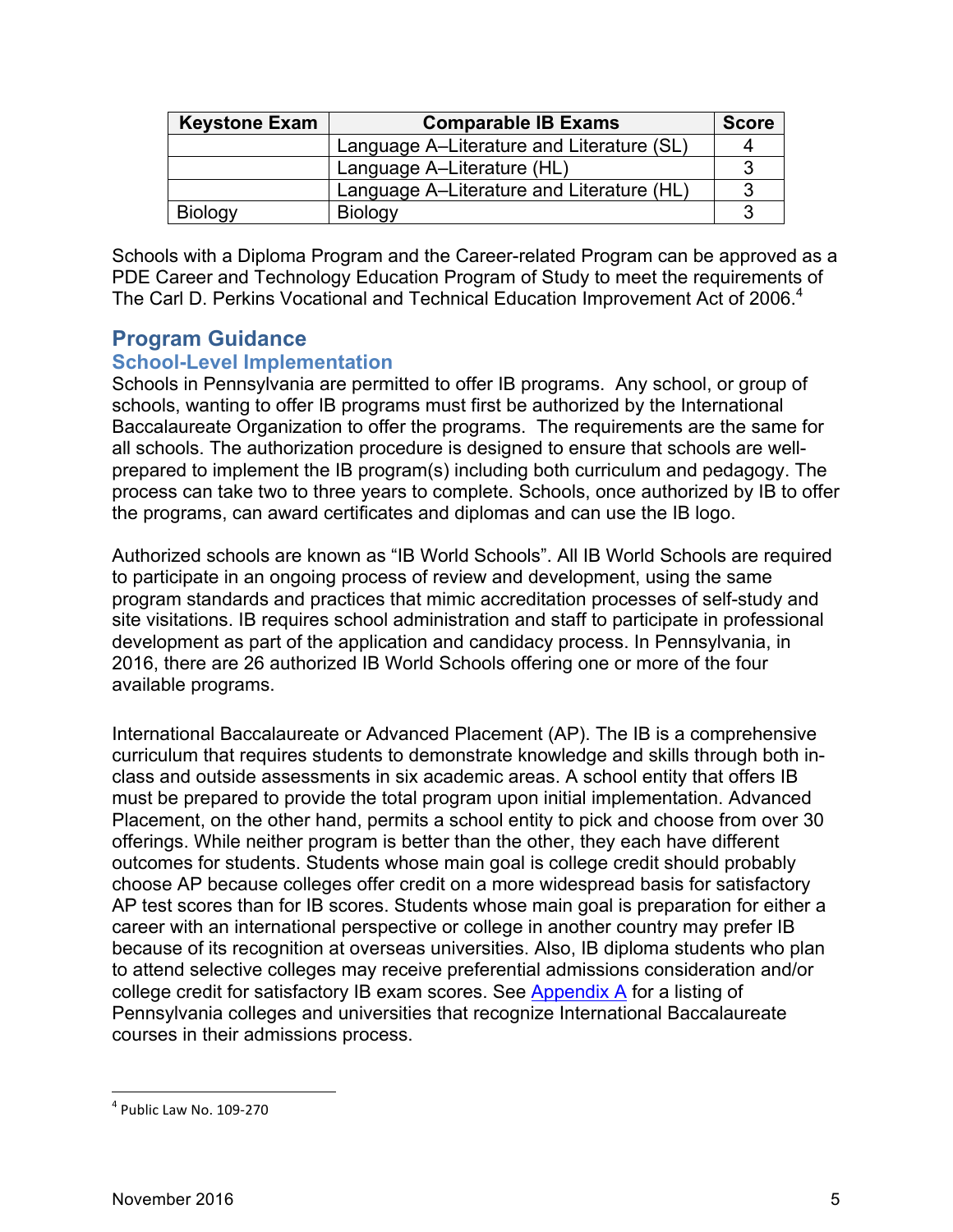| <b>Keystone Exam</b> | <b>Comparable IB Exams</b>                | <b>Score</b> |
|----------------------|-------------------------------------------|--------------|
|                      | Language A–Literature and Literature (SL) |              |
|                      | Language A-Literature (HL)                |              |
|                      | Language A–Literature and Literature (HL) |              |
| <b>Biology</b>       | <b>Biology</b>                            | ◠            |

Schools with a Diploma Program and the Career-related Program can be approved as a PDE Career and Technology Education Program of Study to meet the requirements of The Carl D. Perkins Vocational and Technical Education Improvement Act of 2006.<sup>4</sup>

## **Program Guidance**

#### **School-Level Implementation**

Schools in Pennsylvania are permitted to offer IB programs. Any school, or group of schools, wanting to offer IB programs must first be authorized by the International Baccalaureate Organization to offer the programs. The requirements are the same for all schools. The authorization procedure is designed to ensure that schools are wellprepared to implement the IB program(s) including both curriculum and pedagogy. The process can take two to three years to complete. Schools, once authorized by IB to offer the programs, can award certificates and diplomas and can use the IB logo.

Authorized schools are known as "IB World Schools". All IB World Schools are required to participate in an ongoing process of review and development, using the same program standards and practices that mimic accreditation processes of self-study and site visitations. IB requires school administration and staff to participate in professional development as part of the application and candidacy process. In Pennsylvania, in 2016, there are 26 authorized IB World Schools offering one or more of the four available programs.

International Baccalaureate or Advanced Placement (AP). The IB is a comprehensive curriculum that requires students to demonstrate knowledge and skills through both inclass and outside assessments in six academic areas. A school entity that offers IB must be prepared to provide the total program upon initial implementation. Advanced Placement, on the other hand, permits a school entity to pick and choose from over 30 offerings. While neither program is better than the other, they each have different outcomes for students. Students whose main goal is college credit should probably choose AP because colleges offer credit on a more widespread basis for satisfactory AP test scores than for IB scores. Students whose main goal is preparation for either a career with an international perspective or college in another country may prefer IB because of its recognition at overseas universities. Also, IB diploma students who plan to attend selective colleges may receive preferential admissions consideration and/or college credit for satisfactory IB exam scores. See Appendix A for a listing of Pennsylvania colleges and universities that recognize International Baccalaureate courses in their admissions process.

 $4$  Public Law No. 109-270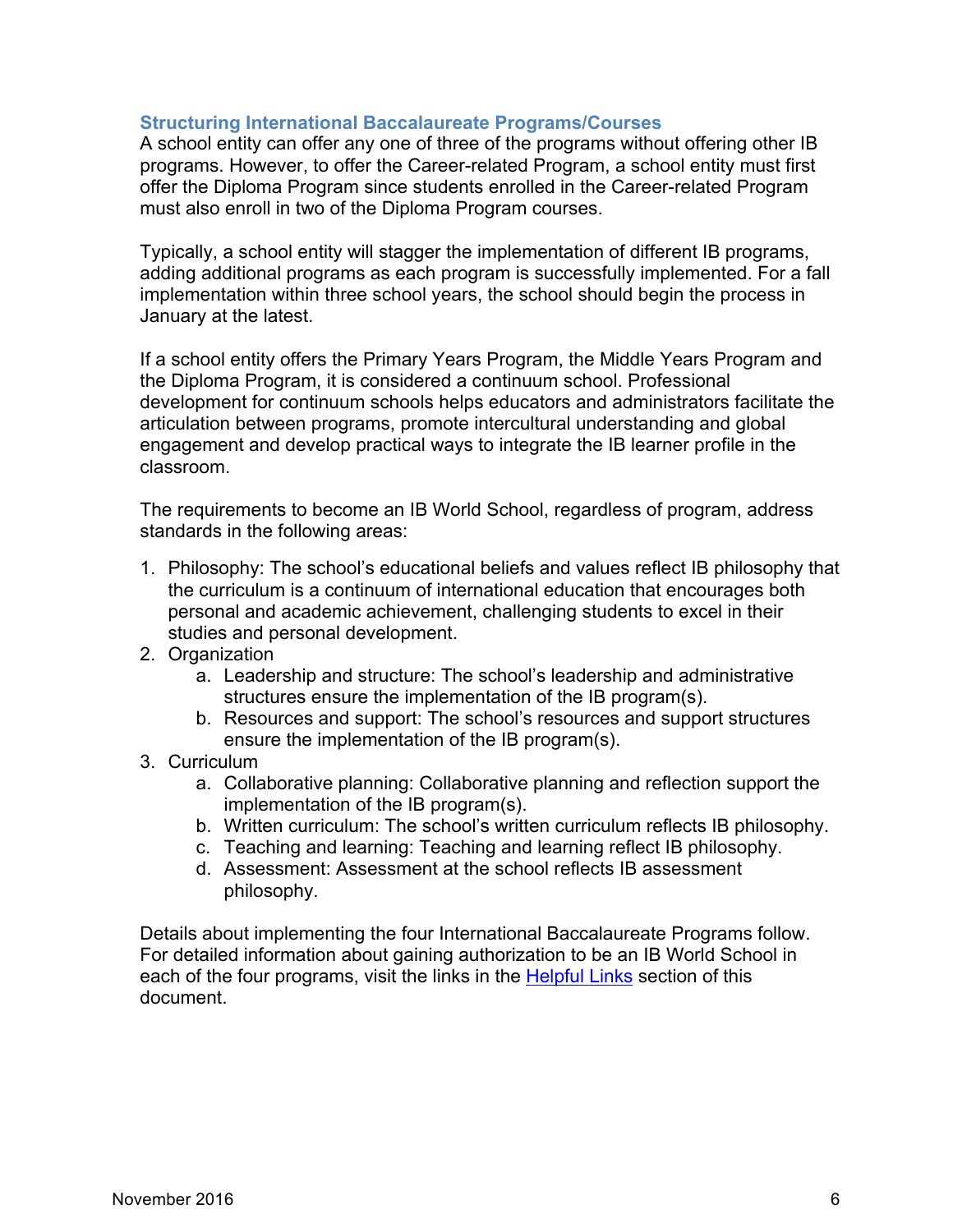#### **Structuring International Baccalaureate Programs/Courses**

A school entity can offer any one of three of the programs without offering other IB programs. However, to offer the Career-related Program, a school entity must first offer the Diploma Program since students enrolled in the Career-related Program must also enroll in two of the Diploma Program courses.

Typically, a school entity will stagger the implementation of different IB programs, adding additional programs as each program is successfully implemented. For a fall implementation within three school years, the school should begin the process in January at the latest.

If a school entity offers the Primary Years Program, the Middle Years Program and the Diploma Program, it is considered a continuum school. Professional development for continuum schools helps educators and administrators facilitate the articulation between programs, promote intercultural understanding and global engagement and develop practical ways to integrate the IB learner profile in the classroom.

The requirements to become an IB World School, regardless of program, address standards in the following areas:

- 1. Philosophy: The school's educational beliefs and values reflect IB philosophy that the curriculum is a continuum of international education that encourages both personal and academic achievement, challenging students to excel in their studies and personal development.
- 2. Organization
	- a. Leadership and structure: The school's leadership and administrative structures ensure the implementation of the IB program(s).
	- b. Resources and support: The school's resources and support structures ensure the implementation of the IB program(s).
- 3. Curriculum
	- a. Collaborative planning: Collaborative planning and reflection support the implementation of the IB program(s).
	- b. Written curriculum: The school's written curriculum reflects IB philosophy.
	- c. Teaching and learning: Teaching and learning reflect IB philosophy.
	- d. Assessment: Assessment at the school reflects IB assessment philosophy.

Details about implementing the four International Baccalaureate Programs follow. For detailed information about gaining authorization to be an IB World School in each of the four programs, visit the links in the Helpful Links section of this document.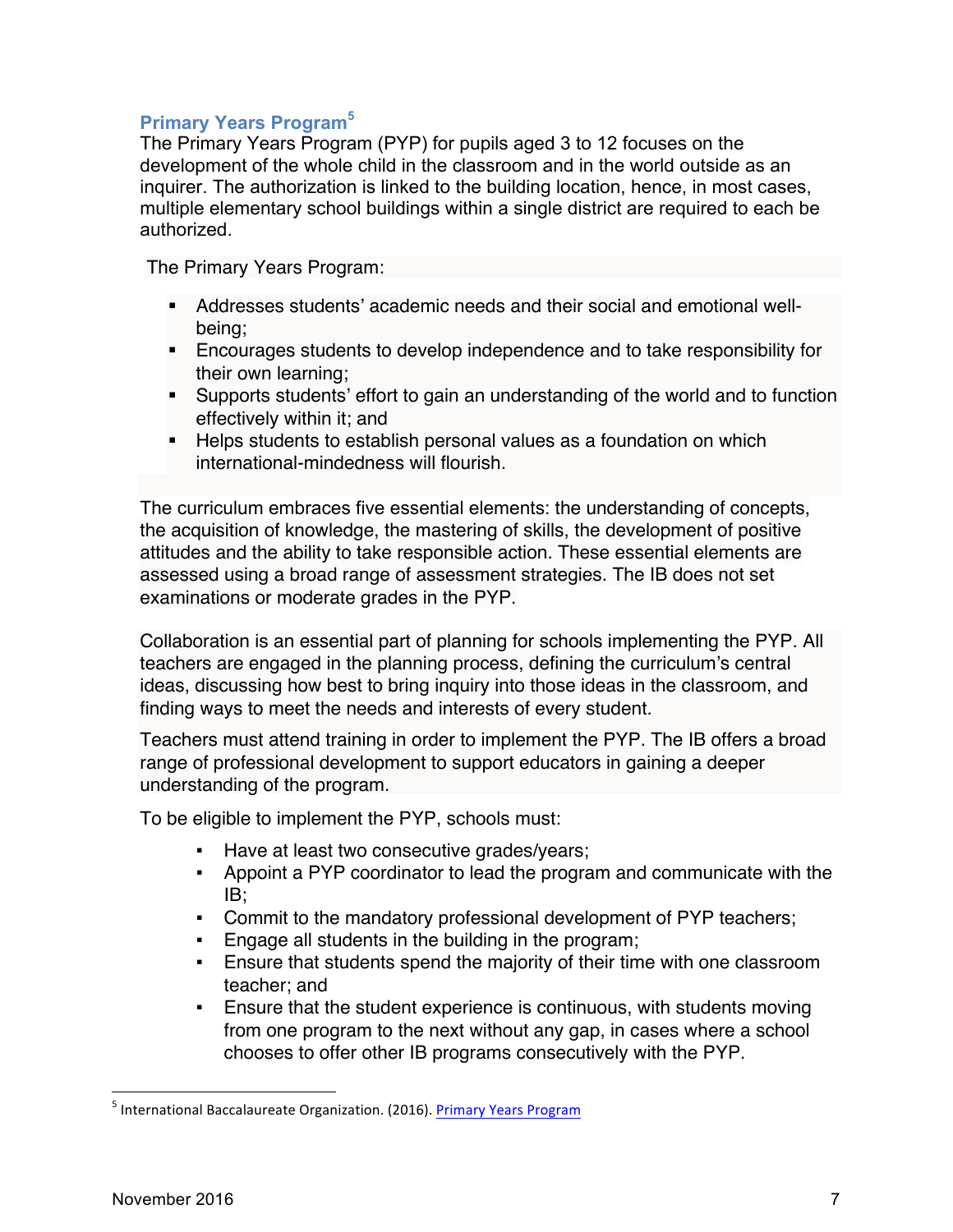#### **Primary Years Program<sup>5</sup>**

The Primary Years Program (PYP) for pupils aged 3 to 12 focuses on the development of the whole child in the classroom and in the world outside as an inquirer. The authorization is linked to the building location, hence, in most cases, multiple elementary school buildings within a single district are required to each be authorized.

The Primary Years Program:

- § Addresses students' academic needs and their social and emotional wellbeing;
- **Encourages students to develop independence and to take responsibility for** their own learning;
- Supports students' effort to gain an understanding of the world and to function effectively within it; and
- Helps students to establish personal values as a foundation on which international-mindedness will flourish.

The curriculum embraces five essential elements: the understanding of concepts, the acquisition of knowledge, the mastering of skills, the development of positive attitudes and the ability to take responsible action. These essential elements are assessed using a broad range of assessment strategies. The IB does not set examinations or moderate grades in the PYP.

Collaboration is an essential part of planning for schools implementing the PYP. All teachers are engaged in the planning process, defining the curriculum's central ideas, discussing how best to bring inquiry into those ideas in the classroom, and finding ways to meet the needs and interests of every student.

Teachers must attend training in order to implement the PYP. The IB offers a broad range of professional development to support educators in gaining a deeper understanding of the program.

To be eligible to implement the PYP, schools must:

- Have at least two consecutive grades/years;
- § Appoint a PYP coordinator to lead the program and communicate with the IB;
- Commit to the mandatory professional development of PYP teachers;
- Engage all students in the building in the program;
- Ensure that students spend the majority of their time with one classroom teacher; and
- § Ensure that the student experience is continuous, with students moving from one program to the next without any gap, in cases where a school chooses to offer other IB programs consecutively with the PYP.

<sup>&</sup>lt;sup>5</sup> International Baccalaureate Organization. (2016). Primary Years Program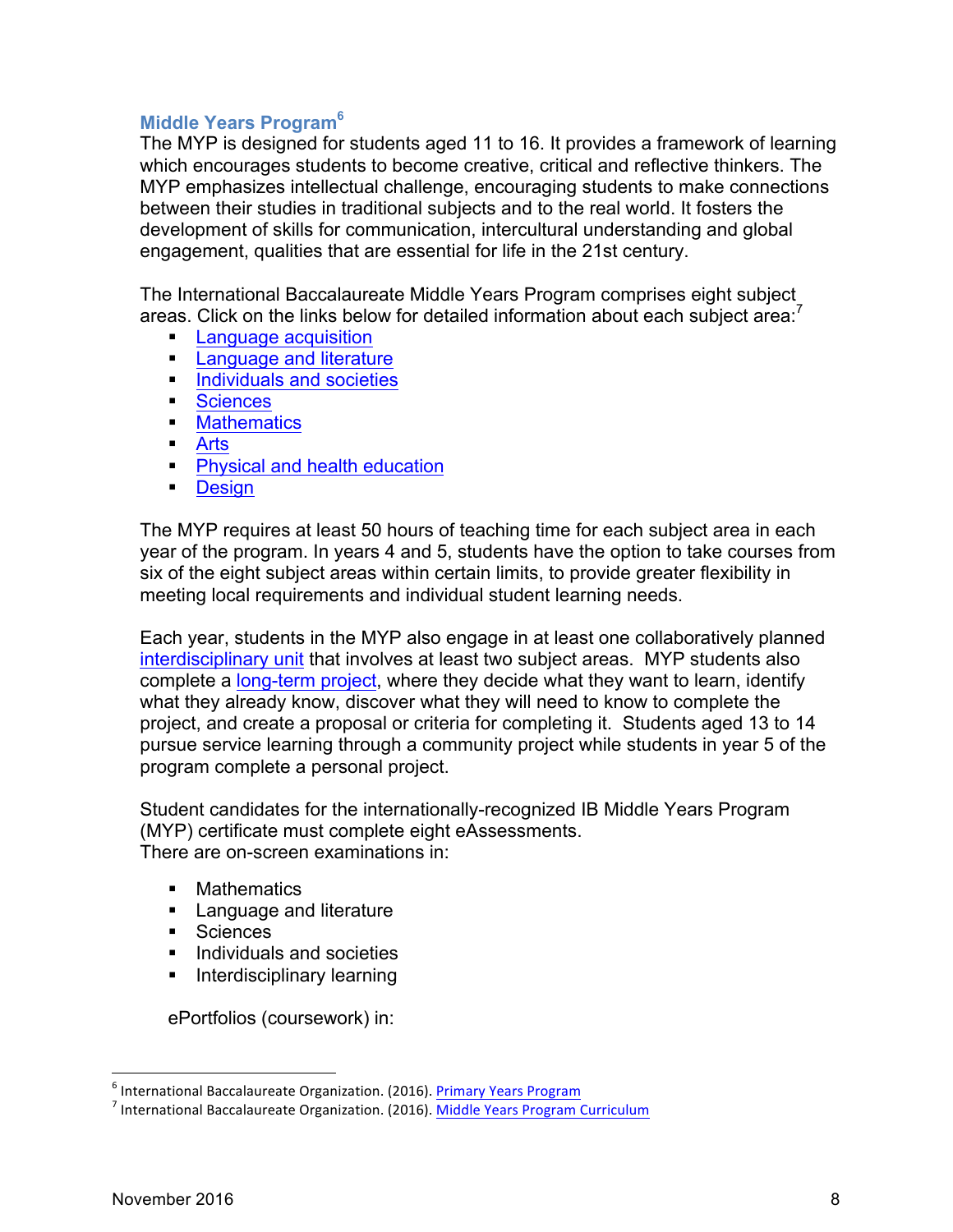#### **Middle Years Program<sup>6</sup>**

The MYP is designed for students aged 11 to 16. It provides a framework of learning which encourages students to become creative, critical and reflective thinkers. The MYP emphasizes intellectual challenge, encouraging students to make connections between their studies in traditional subjects and to the real world. It fosters the development of skills for communication, intercultural understanding and global engagement, qualities that are essential for life in the 21st century.

The International Baccalaureate Middle Years Program comprises eight subject areas. Click on the links below for detailed information about each subject area:<sup>7</sup>

- Language acquisition
- **Example 2 Language and literature**
- **Individuals and societies**
- Sciences
- Mathematics
- § Arts
- **Physical and health education**
- Design

The MYP requires at least 50 hours of teaching time for each subject area in each year of the program. In years 4 and 5, students have the option to take courses from six of the eight subject areas within certain limits, to provide greater flexibility in meeting local requirements and individual student learning needs.

Each year, students in the MYP also engage in at least one collaboratively planned interdisciplinary unit that involves at least two subject areas. MYP students also complete a long-term project, where they decide what they want to learn, identify what they already know, discover what they will need to know to complete the project, and create a proposal or criteria for completing it. Students aged 13 to 14 pursue service learning through a community project while students in year 5 of the program complete a personal project.

Student candidates for the internationally-recognized IB Middle Years Program (MYP) certificate must complete eight eAssessments. There are on-screen examinations in:

- Mathematics
- **Example 2 Language and literature**
- Sciences
- Individuals and societies
- **•** Interdisciplinary learning

ePortfolios (coursework) in:

<sup>&</sup>lt;sup>6</sup> International Baccalaureate Organization. (2016). **Primary Years Program 1.**<br><sup>7</sup> International Baccalaureate Organization. (2016). <u>Middle Years Program Curriculum</u>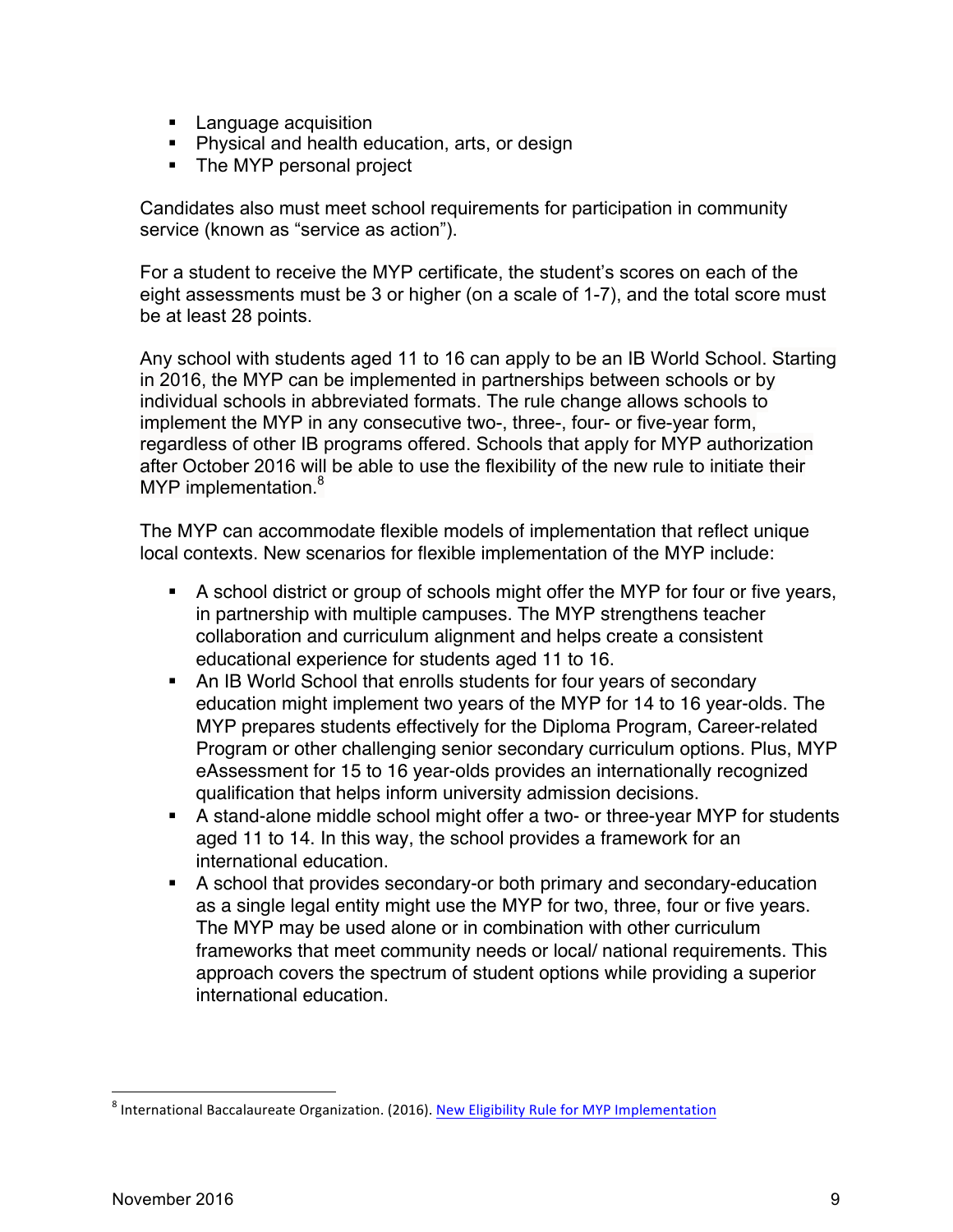- **E** Language acquisition
- Physical and health education, arts, or design
- The MYP personal project

Candidates also must meet school requirements for participation in community service (known as "service as action").

For a student to receive the MYP certificate, the student's scores on each of the eight assessments must be 3 or higher (on a scale of 1-7), and the total score must be at least 28 points.

Any school with students aged 11 to 16 can apply to be an IB World School. Starting in 2016, the MYP can be implemented in partnerships between schools or by individual schools in abbreviated formats. The rule change allows schools to implement the MYP in any consecutive two-, three-, four- or five-year form, regardless of other IB programs offered. Schools that apply for MYP authorization after October 2016 will be able to use the flexibility of the new rule to initiate their MYP implementation.<sup>8</sup>

The MYP can accommodate flexible models of implementation that reflect unique local contexts. New scenarios for flexible implementation of the MYP include:

- § A school district or group of schools might offer the MYP for four or five years, in partnership with multiple campuses. The MYP strengthens teacher collaboration and curriculum alignment and helps create a consistent educational experience for students aged 11 to 16.
- An IB World School that enrolls students for four years of secondary education might implement two years of the MYP for 14 to 16 year-olds. The MYP prepares students effectively for the Diploma Program, Career-related Program or other challenging senior secondary curriculum options. Plus, MYP eAssessment for 15 to 16 year-olds provides an internationally recognized qualification that helps inform university admission decisions.
- A stand-alone middle school might offer a two- or three-year MYP for students aged 11 to 14. In this way, the school provides a framework for an international education.
- A school that provides secondary-or both primary and secondary-education as a single legal entity might use the MYP for two, three, four or five years. The MYP may be used alone or in combination with other curriculum frameworks that meet community needs or local/ national requirements. This approach covers the spectrum of student options while providing a superior international education.

<sup>&</sup>lt;sup>8</sup> International Baccalaureate Organization. (2016). New Eligibility Rule for MYP Implementation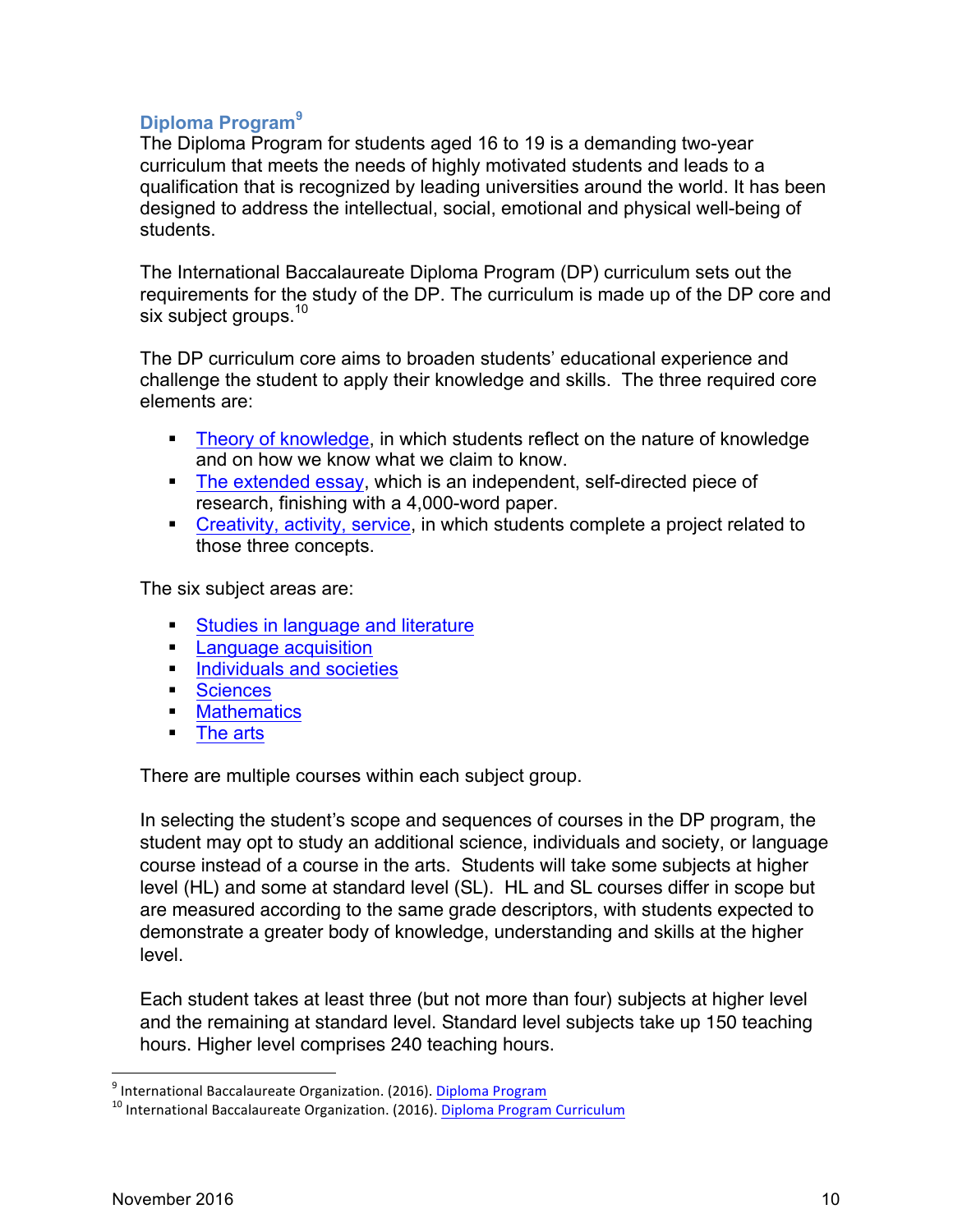### **Diploma Program<sup>9</sup>**

The Diploma Program for students aged 16 to 19 is a demanding two-year curriculum that meets the needs of highly motivated students and leads to a qualification that is recognized by leading universities around the world. It has been designed to address the intellectual, social, emotional and physical well-being of students.

The International Baccalaureate Diploma Program (DP) curriculum sets out the requirements for the study of the DP. The curriculum is made up of the DP core and six subject groups.<sup>10</sup>

The DP curriculum core aims to broaden students' educational experience and challenge the student to apply their knowledge and skills. The three required core elements are:

- Theory of knowledge, in which students reflect on the nature of knowledge and on how we know what we claim to know.
- § The extended essay, which is an independent, self-directed piece of research, finishing with a 4,000-word paper.
- Creativity, activity, service, in which students complete a project related to those three concepts.

The six subject areas are:

- Studies in language and literature
- **E** Language acquisition
- **Individuals and societies**
- Sciences
- Mathematics
- § The arts

There are multiple courses within each subject group.

In selecting the student's scope and sequences of courses in the DP program, the student may opt to study an additional science, individuals and society, or language course instead of a course in the arts. Students will take some subjects at higher level (HL) and some at standard level (SL). HL and SL courses differ in scope but are measured according to the same grade descriptors, with students expected to demonstrate a greater body of knowledge, understanding and skills at the higher level.

Each student takes at least three (but not more than four) subjects at higher level and the remaining at standard level. Standard level subjects take up 150 teaching hours. Higher level comprises 240 teaching hours.

<sup>&</sup>lt;sup>9</sup> International Baccalaureate Organization. (2016). Diploma Program Curriculum 10 International Baccalaureate Organization. (2016). Diploma Program Curriculum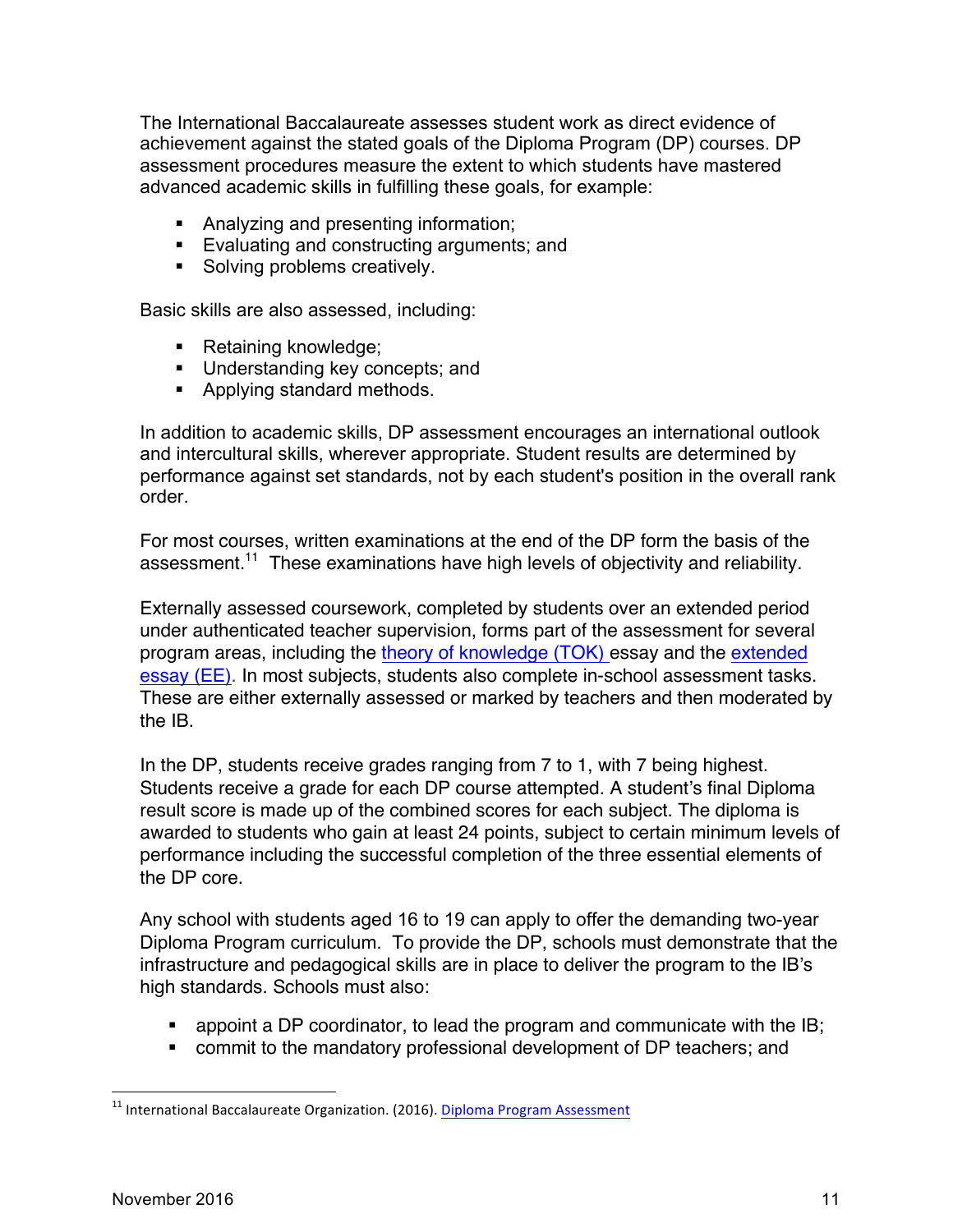The International Baccalaureate assesses student work as direct evidence of achievement against the stated goals of the Diploma Program (DP) courses. DP assessment procedures measure the extent to which students have mastered advanced academic skills in fulfilling these goals, for example:

- Analyzing and presenting information;
- Evaluating and constructing arguments; and
- Solving problems creatively.

Basic skills are also assessed, including:

- Retaining knowledge;
- Understanding key concepts; and
- Applying standard methods.

In addition to academic skills, DP assessment encourages an international outlook and intercultural skills, wherever appropriate. Student results are determined by performance against set standards, not by each student's position in the overall rank order.

For most courses, written examinations at the end of the DP form the basis of the assessment.<sup>11</sup> These examinations have high levels of objectivity and reliability.

Externally assessed coursework, completed by students over an extended period under authenticated teacher supervision, forms part of the assessment for several program areas, including the theory of knowledge (TOK) essay and the extended essay (EE). In most subjects, students also complete in-school assessment tasks. These are either externally assessed or marked by teachers and then moderated by the IB.

In the DP, students receive grades ranging from 7 to 1, with 7 being highest. Students receive a grade for each DP course attempted. A student's final Diploma result score is made up of the combined scores for each subject. The diploma is awarded to students who gain at least 24 points, subject to certain minimum levels of performance including the successful completion of the three essential elements of the DP core.

Any school with students aged 16 to 19 can apply to offer the demanding two-year Diploma Program curriculum. To provide the DP, schools must demonstrate that the infrastructure and pedagogical skills are in place to deliver the program to the IB's high standards. Schools must also:

- **appoint a DP coordinator, to lead the program and communicate with the IB;**
- commit to the mandatory professional development of DP teachers; and

 $11$  International Baccalaureate Organization. (2016). Diploma Program Assessment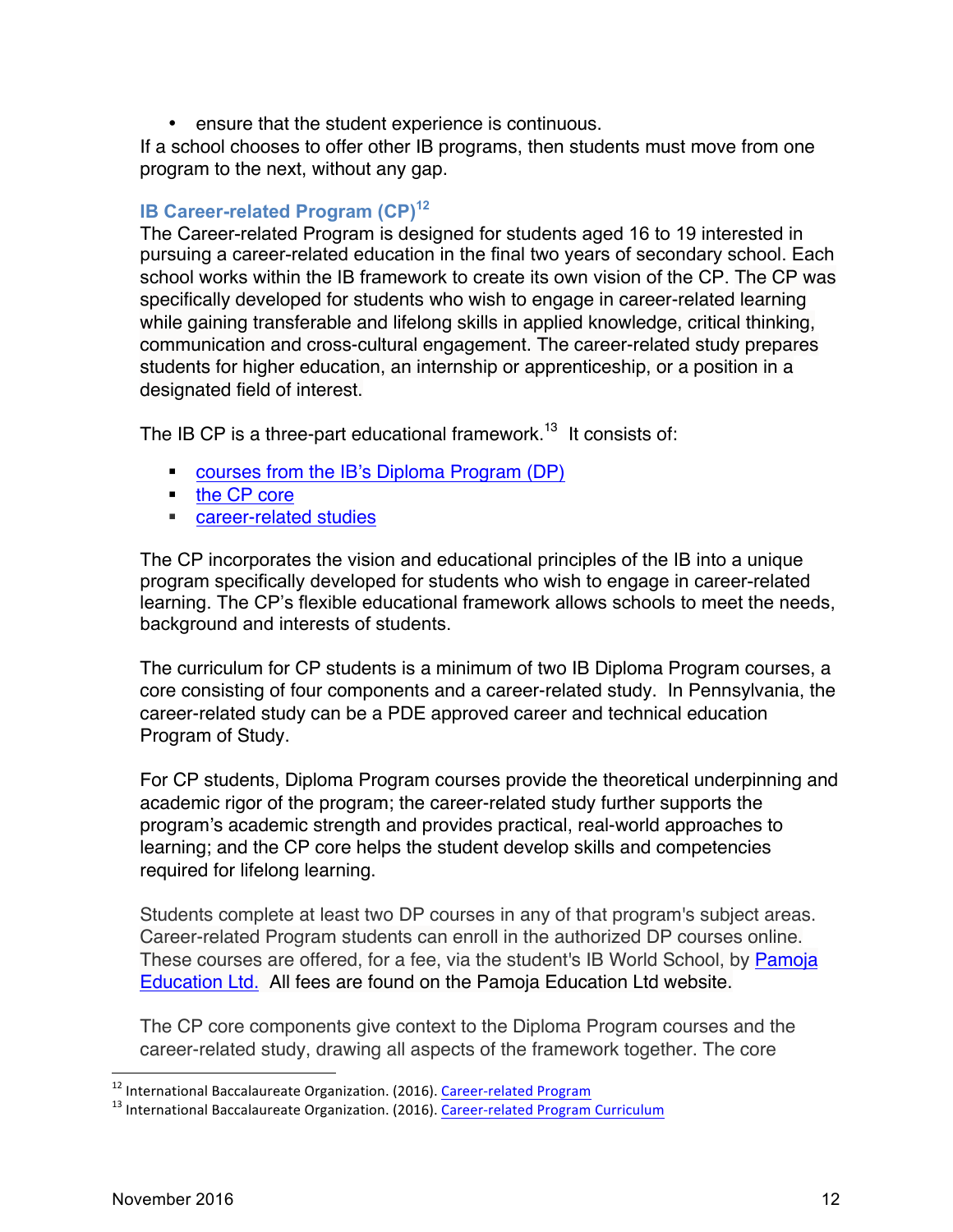• ensure that the student experience is continuous.

If a school chooses to offer other IB programs, then students must move from one program to the next, without any gap.

#### **IB Career-related Program (CP)<sup>12</sup>**

The Career-related Program is designed for students aged 16 to 19 interested in pursuing a career-related education in the final two years of secondary school. Each school works within the IB framework to create its own vision of the CP. The CP was specifically developed for students who wish to engage in career-related learning while gaining transferable and lifelong skills in applied knowledge, critical thinking, communication and cross-cultural engagement. The career-related study prepares students for higher education, an internship or apprenticeship, or a position in a designated field of interest.

The IB CP is a three-part educational framework.<sup>13</sup> It consists of:

- courses from the IB's Diploma Program (DP)
- the CP core
- career-related studies

The CP incorporates the vision and educational principles of the IB into a unique program specifically developed for students who wish to engage in career-related learning. The CP's flexible educational framework allows schools to meet the needs, background and interests of students.

The curriculum for CP students is a minimum of two IB Diploma Program courses, a core consisting of four components and a career-related study. In Pennsylvania, the career-related study can be a PDE approved career and technical education Program of Study.

For CP students, Diploma Program courses provide the theoretical underpinning and academic rigor of the program; the career-related study further supports the program's academic strength and provides practical, real-world approaches to learning; and the CP core helps the student develop skills and competencies required for lifelong learning.

Students complete at least two DP courses in any of that program's subject areas. Career-related Program students can enroll in the authorized DP courses online. These courses are offered, for a fee, via the student's IB World School, by Pamoja Education Ltd. All fees are found on the Pamoja Education Ltd website.

The CP core components give context to the Diploma Program courses and the career-related study, drawing all aspects of the framework together. The core

<sup>&</sup>lt;sup>12</sup> International Baccalaureate Organization. (2016). *Career-related Program*  $\frac{13 \text{ International Baccalaureate Organization (2016)} \cdot \text{Career-related Program Curriculum}}{13 \cdot \text{International Baccalaureate Organization (2016)} \cdot \text{Career-related Program Curriculum}}$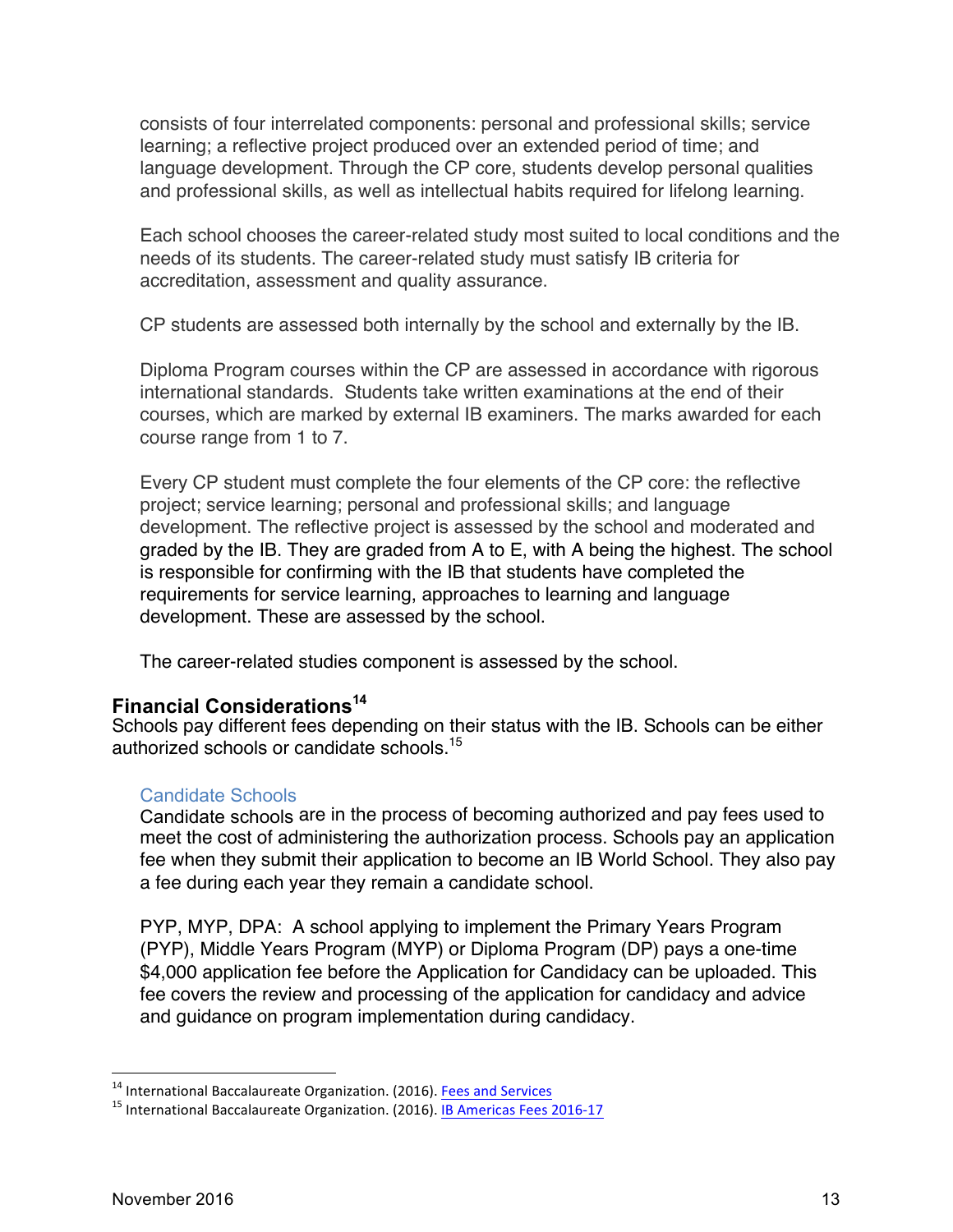consists of four interrelated components: personal and professional skills; service learning; a reflective project produced over an extended period of time; and language development. Through the CP core, students develop personal qualities and professional skills, as well as intellectual habits required for lifelong learning.

Each school chooses the career-related study most suited to local conditions and the needs of its students. The career-related study must satisfy IB criteria for accreditation, assessment and quality assurance.

CP students are assessed both internally by the school and externally by the IB.

Diploma Program courses within the CP are assessed in accordance with rigorous international standards. Students take written examinations at the end of their courses, which are marked by external IB examiners. The marks awarded for each course range from 1 to 7.

Every CP student must complete the four elements of the CP core: the reflective project; service learning; personal and professional skills; and language development. The reflective project is assessed by the school and moderated and graded by the IB. They are graded from A to E, with A being the highest. The school is responsible for confirming with the IB that students have completed the requirements for service learning, approaches to learning and language development. These are assessed by the school.

The career-related studies component is assessed by the school.

#### **Financial Considerations<sup>14</sup>**

Schools pay different fees depending on their status with the IB. Schools can be either authorized schools or candidate schools. 15

#### Candidate Schools

Candidate schools are in the process of becoming authorized and pay fees used to meet the cost of administering the authorization process. Schools pay an application fee when they submit their application to become an IB World School. They also pay a fee during each year they remain a candidate school.

PYP, MYP, DPA: A school applying to implement the Primary Years Program (PYP), Middle Years Program (MYP) or Diploma Program (DP) pays a one-time \$4,000 application fee before the Application for Candidacy can be uploaded. This fee covers the review and processing of the application for candidacy and advice and guidance on program implementation during candidacy.

<sup>&</sup>lt;sup>14</sup> International Baccalaureate Organization. (2016). **Fees and Services**<br><sup>15</sup> International Baccalaureate Organization. (2016). IB Americas Fees 2016-17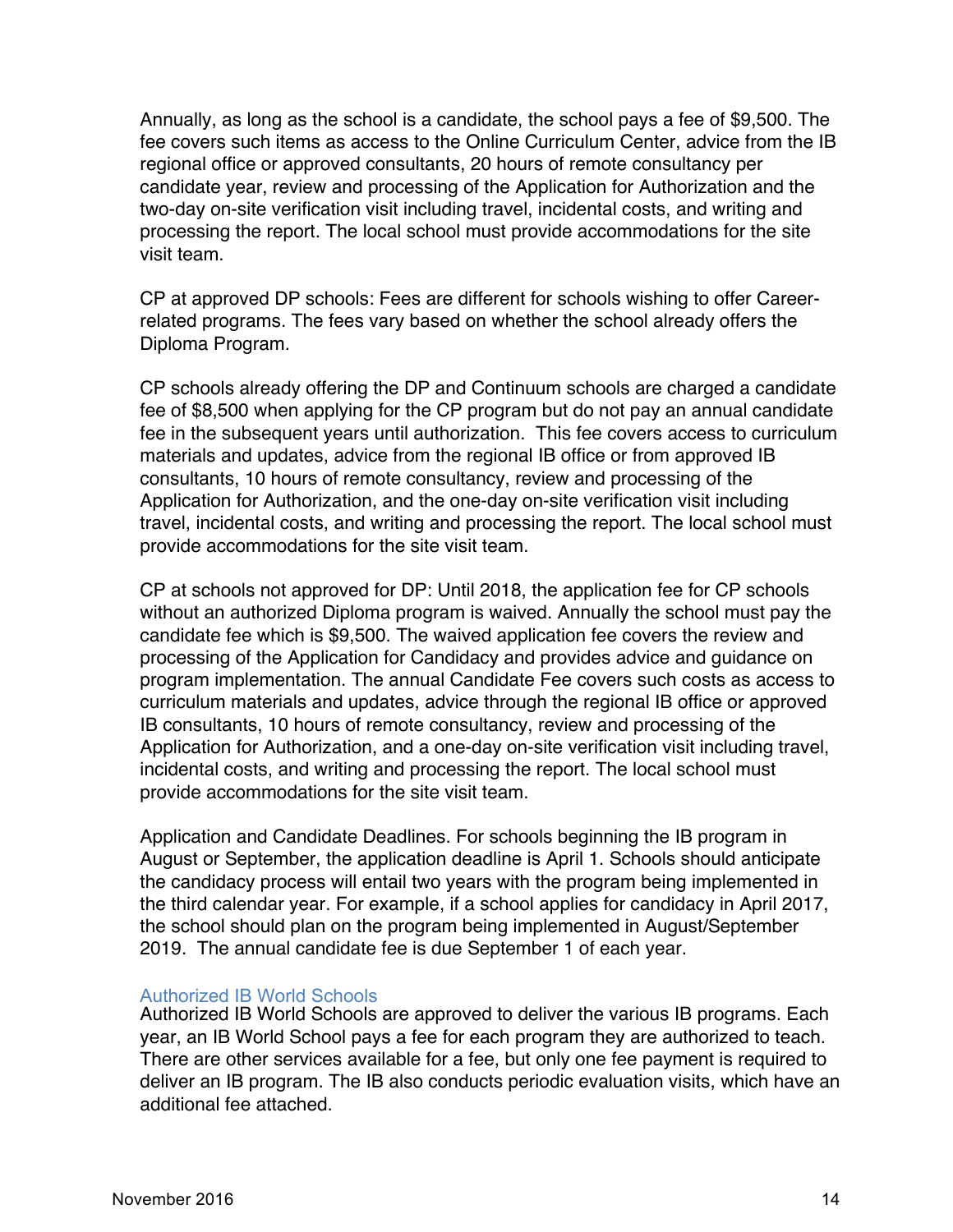Annually, as long as the school is a candidate, the school pays a fee of \$9,500. The fee covers such items as access to the Online Curriculum Center, advice from the IB regional office or approved consultants, 20 hours of remote consultancy per candidate year, review and processing of the Application for Authorization and the two-day on-site verification visit including travel, incidental costs, and writing and processing the report. The local school must provide accommodations for the site visit team.

CP at approved DP schools: Fees are different for schools wishing to offer Careerrelated programs. The fees vary based on whether the school already offers the Diploma Program.

CP schools already offering the DP and Continuum schools are charged a candidate fee of \$8,500 when applying for the CP program but do not pay an annual candidate fee in the subsequent years until authorization. This fee covers access to curriculum materials and updates, advice from the regional IB office or from approved IB consultants, 10 hours of remote consultancy, review and processing of the Application for Authorization, and the one-day on-site verification visit including travel, incidental costs, and writing and processing the report. The local school must provide accommodations for the site visit team.

CP at schools not approved for DP: Until 2018, the application fee for CP schools without an authorized Diploma program is waived. Annually the school must pay the candidate fee which is \$9,500. The waived application fee covers the review and processing of the Application for Candidacy and provides advice and guidance on program implementation. The annual Candidate Fee covers such costs as access to curriculum materials and updates, advice through the regional IB office or approved IB consultants, 10 hours of remote consultancy, review and processing of the Application for Authorization, and a one-day on-site verification visit including travel, incidental costs, and writing and processing the report. The local school must provide accommodations for the site visit team.

Application and Candidate Deadlines. For schools beginning the IB program in August or September, the application deadline is April 1. Schools should anticipate the candidacy process will entail two years with the program being implemented in the third calendar year. For example, if a school applies for candidacy in April 2017, the school should plan on the program being implemented in August/September 2019. The annual candidate fee is due September 1 of each year.

#### Authorized IB World Schools

Authorized IB World Schools are approved to deliver the various IB programs. Each year, an IB World School pays a fee for each program they are authorized to teach. There are other services available for a fee, but only one fee payment is required to deliver an IB program. The IB also conducts periodic evaluation visits, which have an additional fee attached.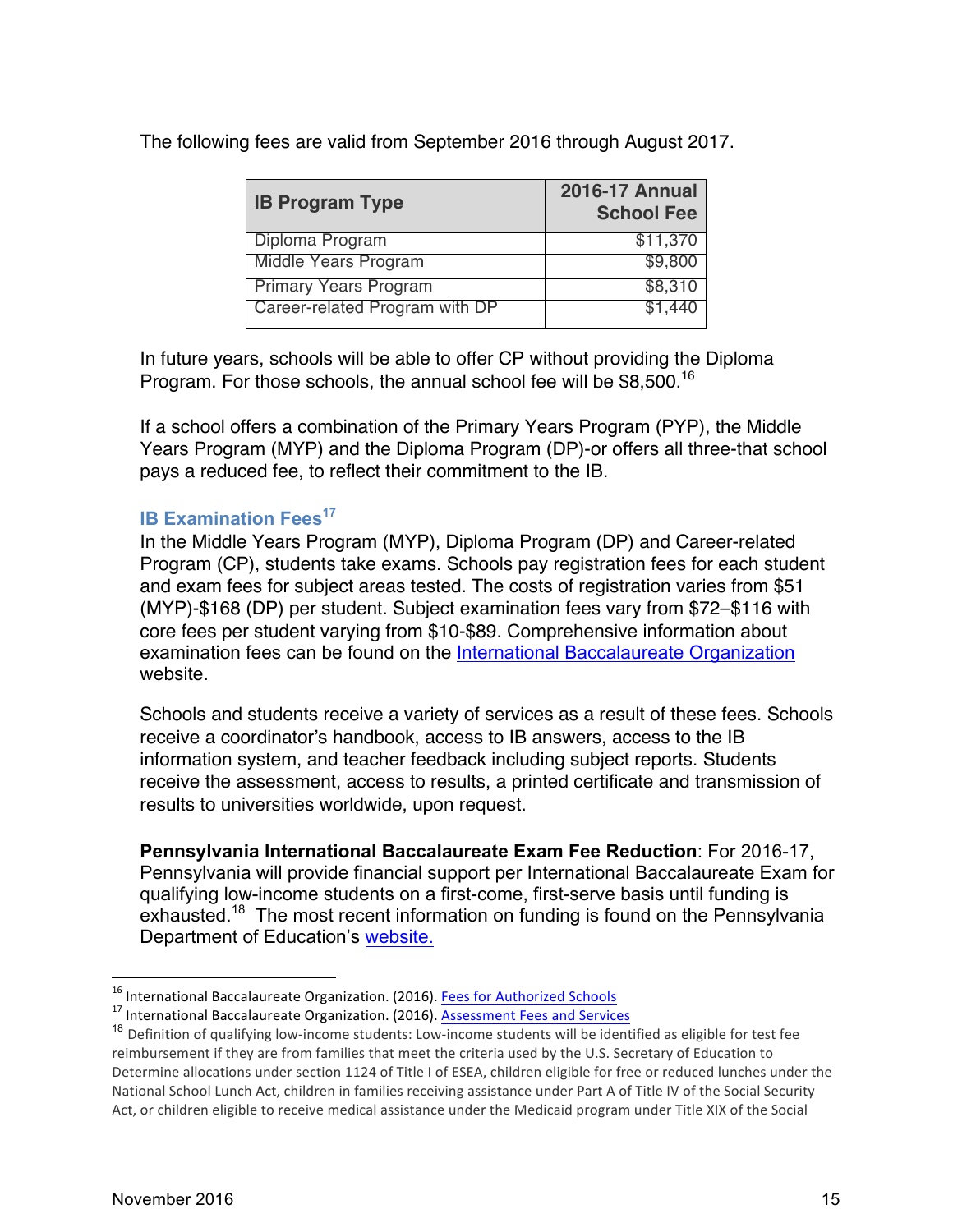The following fees are valid from September 2016 through August 2017.

| <b>IB Program Type</b>         | <b>2016-17 Annual</b><br><b>School Fee</b> |  |  |  |  |
|--------------------------------|--------------------------------------------|--|--|--|--|
| Diploma Program                | \$11,370                                   |  |  |  |  |
| Middle Years Program           | \$9,800                                    |  |  |  |  |
| <b>Primary Years Program</b>   | \$8,310                                    |  |  |  |  |
| Career-related Program with DP | \$1.440                                    |  |  |  |  |

In future years, schools will be able to offer CP without providing the Diploma Program. For those schools, the annual school fee will be \$8,500.<sup>16</sup>

If a school offers a combination of the Primary Years Program (PYP), the Middle Years Program (MYP) and the Diploma Program (DP)-or offers all three-that school pays a reduced fee, to reflect their commitment to the IB.

#### **IB Examination Fees<sup>17</sup>**

In the Middle Years Program (MYP), Diploma Program (DP) and Career-related Program (CP), students take exams. Schools pay registration fees for each student and exam fees for subject areas tested. The costs of registration varies from \$51 (MYP)-\$168 (DP) per student. Subject examination fees vary from \$72–\$116 with core fees per student varying from \$10-\$89. Comprehensive information about examination fees can be found on the International Baccalaureate Organization website.

Schools and students receive a variety of services as a result of these fees. Schools receive a coordinator's handbook, access to IB answers, access to the IB information system, and teacher feedback including subject reports. Students receive the assessment, access to results, a printed certificate and transmission of results to universities worldwide, upon request.

**Pennsylvania International Baccalaureate Exam Fee Reduction**: For 2016-17, Pennsylvania will provide financial support per International Baccalaureate Exam for qualifying low-income students on a first-come, first-serve basis until funding is exhausted.<sup>18</sup> The most recent information on funding is found on the Pennsylvania Department of Education's website.

<sup>&</sup>lt;sup>16</sup> International Baccalaureate Organization. (2016). **Fees for Authorized Schools** <sup>17</sup> International Baccalaureate Organization. (2016). **Assessment Fees and Services** 

 $18$  Definition of qualifying low-income students: Low-income students will be identified as eligible for test fee reimbursement if they are from families that meet the criteria used by the U.S. Secretary of Education to Determine allocations under section 1124 of Title I of ESEA, children eligible for free or reduced lunches under the National School Lunch Act, children in families receiving assistance under Part A of Title IV of the Social Security Act, or children eligible to receive medical assistance under the Medicaid program under Title XIX of the Social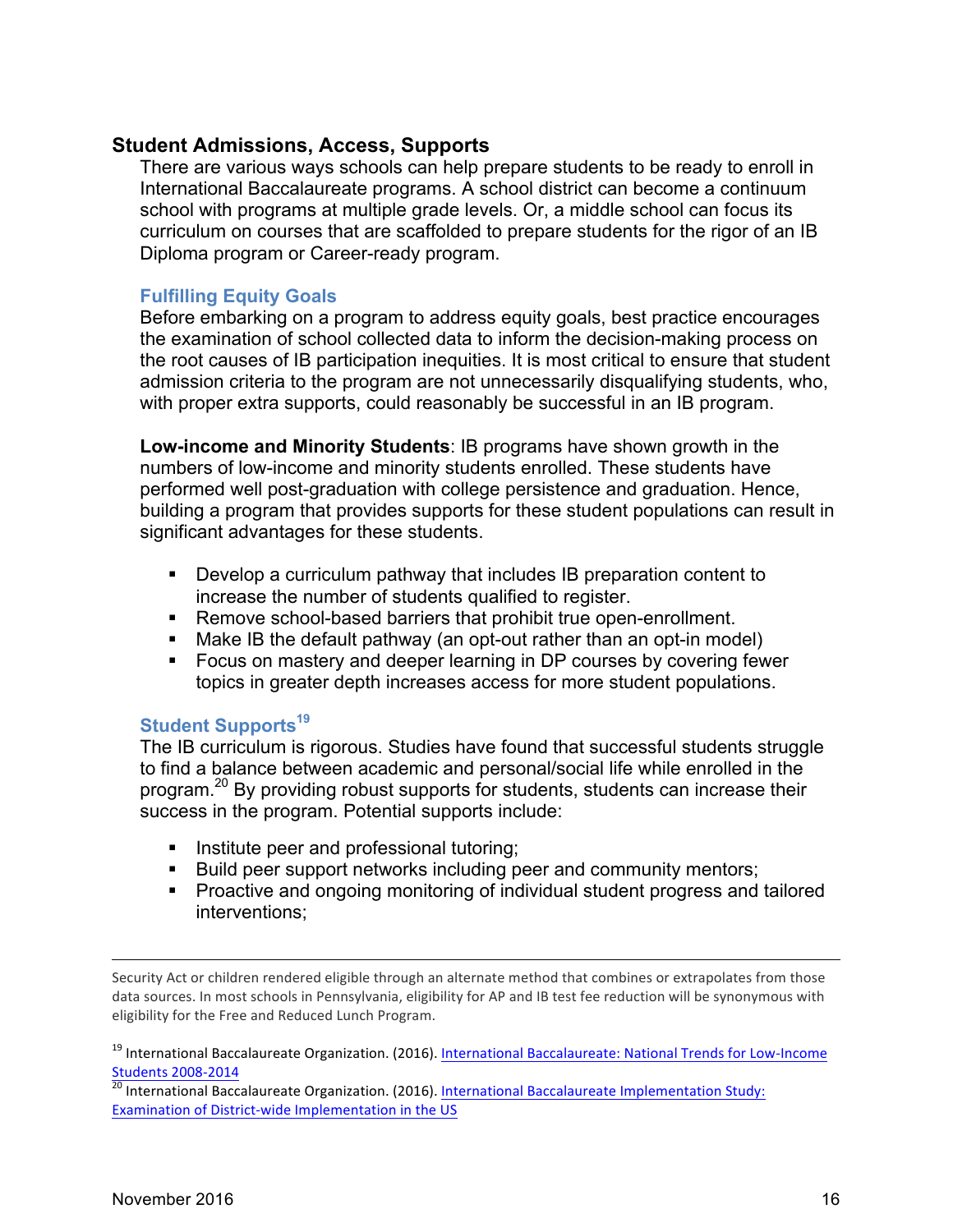#### **Student Admissions, Access, Supports**

There are various ways schools can help prepare students to be ready to enroll in International Baccalaureate programs. A school district can become a continuum school with programs at multiple grade levels. Or, a middle school can focus its curriculum on courses that are scaffolded to prepare students for the rigor of an IB Diploma program or Career-ready program.

#### **Fulfilling Equity Goals**

Before embarking on a program to address equity goals, best practice encourages the examination of school collected data to inform the decision-making process on the root causes of IB participation inequities. It is most critical to ensure that student admission criteria to the program are not unnecessarily disqualifying students, who, with proper extra supports, could reasonably be successful in an IB program.

**Low-income and Minority Students**: IB programs have shown growth in the numbers of low-income and minority students enrolled. These students have performed well post-graduation with college persistence and graduation. Hence, building a program that provides supports for these student populations can result in significant advantages for these students.

- Develop a curriculum pathway that includes IB preparation content to increase the number of students qualified to register.
- Remove school-based barriers that prohibit true open-enrollment.
- Make IB the default pathway (an opt-out rather than an opt-in model)
- Focus on mastery and deeper learning in DP courses by covering fewer topics in greater depth increases access for more student populations.

#### **Student Supports<sup>19</sup>**

The IB curriculum is rigorous. Studies have found that successful students struggle to find a balance between academic and personal/social life while enrolled in the program.<sup>20</sup> By providing robust supports for students, students can increase their success in the program. Potential supports include:

- **Institute peer and professional tutoring;**
- Build peer support networks including peer and community mentors;
- Proactive and ongoing monitoring of individual student progress and tailored interventions;

Security Act or children rendered eligible through an alternate method that combines or extrapolates from those data sources. In most schools in Pennsylvania, eligibility for AP and IB test fee reduction will be synonymous with eligibility for the Free and Reduced Lunch Program.

<sup>19</sup> International Baccalaureate Organization. (2016). International Baccalaureate: National Trends for Low-Income

 $\frac{\text{Students 2008-2014}}{\text{20}}$  International Baccalaureate Organization. (2016). International Baccalaureate Implementation Study: Examination of District-wide Implementation in the US

 $\overline{a}$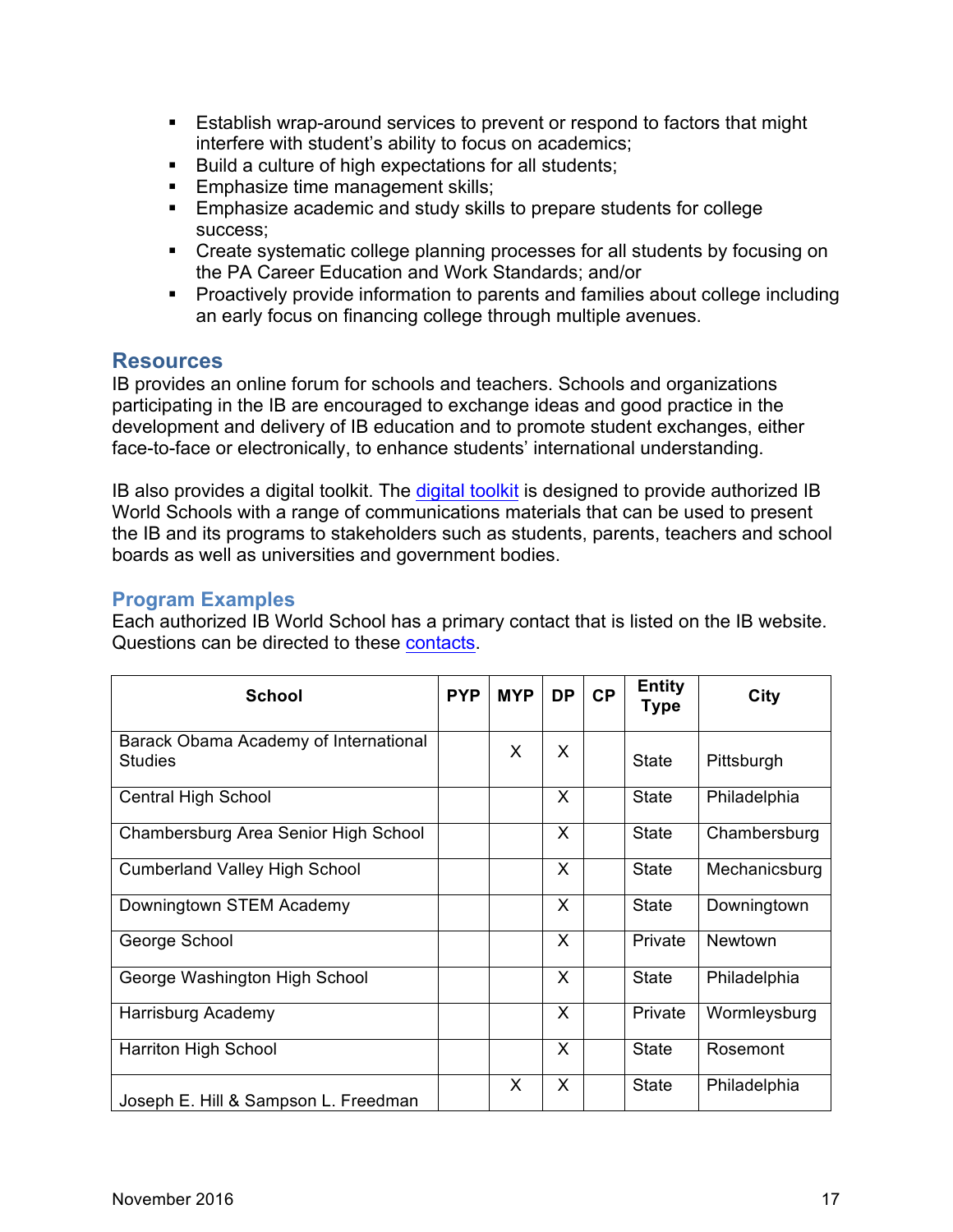- Establish wrap-around services to prevent or respond to factors that might interfere with student's ability to focus on academics;
- Build a culture of high expectations for all students;
- Emphasize time management skills;
- Emphasize academic and study skills to prepare students for college success;
- Create systematic college planning processes for all students by focusing on the PA Career Education and Work Standards; and/or
- § Proactively provide information to parents and families about college including an early focus on financing college through multiple avenues.

#### **Resources**

IB provides an online forum for schools and teachers. Schools and organizations participating in the IB are encouraged to exchange ideas and good practice in the development and delivery of IB education and to promote student exchanges, either face-to-face or electronically, to enhance students' international understanding.

IB also provides a digital toolkit. The digital toolkit is designed to provide authorized IB World Schools with a range of communications materials that can be used to present the IB and its programs to stakeholders such as students, parents, teachers and school boards as well as universities and government bodies.

#### **Program Examples**

Each authorized IB World School has a primary contact that is listed on the IB website. Questions can be directed to these contacts.

| <b>School</b>                                           | <b>PYP</b> | <b>MYP</b> | <b>DP</b> | CP | <b>Entity</b><br><b>Type</b> | City           |
|---------------------------------------------------------|------------|------------|-----------|----|------------------------------|----------------|
| Barack Obama Academy of International<br><b>Studies</b> |            | X          | X         |    | <b>State</b>                 | Pittsburgh     |
| Central High School                                     |            |            | X         |    | <b>State</b>                 | Philadelphia   |
| Chambersburg Area Senior High School                    |            |            | X         |    | <b>State</b>                 | Chambersburg   |
| <b>Cumberland Valley High School</b>                    |            |            | X         |    | <b>State</b>                 | Mechanicsburg  |
| Downingtown STEM Academy                                |            |            | X         |    | <b>State</b>                 | Downingtown    |
| George School                                           |            |            | $\times$  |    | Private                      | <b>Newtown</b> |
| George Washington High School                           |            |            | X         |    | <b>State</b>                 | Philadelphia   |
| Harrisburg Academy                                      |            |            | X         |    | Private                      | Wormleysburg   |
| <b>Harriton High School</b>                             |            |            | X         |    | <b>State</b>                 | Rosemont       |
| Joseph E. Hill & Sampson L. Freedman                    |            | X          | X         |    | <b>State</b>                 | Philadelphia   |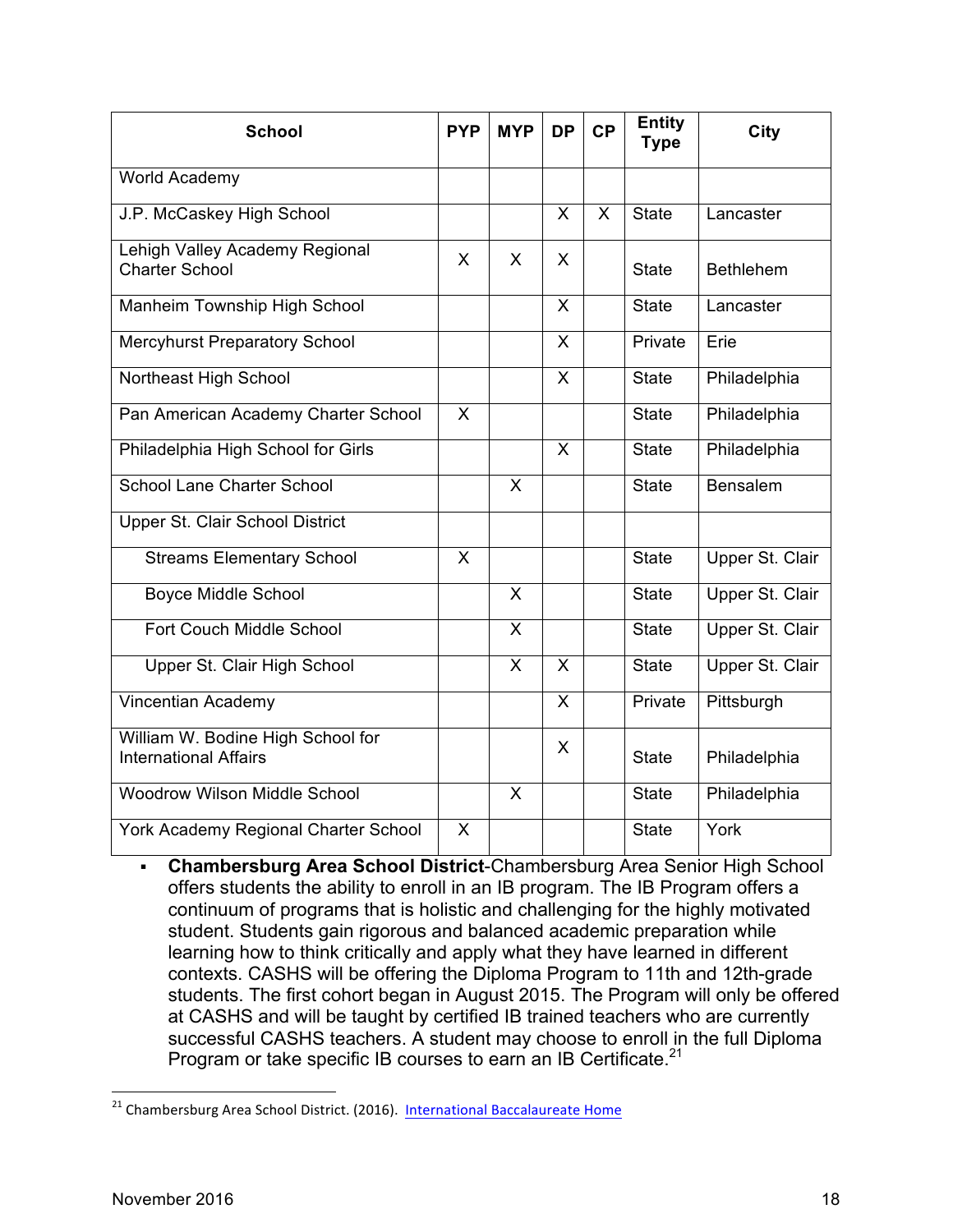| <b>School</b>                                                     | <b>PYP</b> | <b>MYP</b>              | <b>DP</b>    | CP           | <b>Entity</b><br><b>Type</b> | City                   |
|-------------------------------------------------------------------|------------|-------------------------|--------------|--------------|------------------------------|------------------------|
| World Academy                                                     |            |                         |              |              |                              |                        |
| J.P. McCaskey High School                                         |            |                         | $\mathsf{X}$ | $\mathsf{X}$ | <b>State</b>                 | Lancaster              |
| Lehigh Valley Academy Regional<br><b>Charter School</b>           | X          | X                       | X            |              | <b>State</b>                 | <b>Bethlehem</b>       |
| Manheim Township High School                                      |            |                         | $\mathsf{X}$ |              | <b>State</b>                 | Lancaster              |
| <b>Mercyhurst Preparatory School</b>                              |            |                         | X            |              | Private                      | Erie                   |
| Northeast High School                                             |            |                         | $\mathsf{x}$ |              | <b>State</b>                 | Philadelphia           |
| Pan American Academy Charter School                               | X          |                         |              |              | <b>State</b>                 | Philadelphia           |
| Philadelphia High School for Girls                                |            |                         | $\sf X$      |              | <b>State</b>                 | Philadelphia           |
| <b>School Lane Charter School</b>                                 |            | X                       |              |              | <b>State</b>                 | <b>Bensalem</b>        |
| Upper St. Clair School District                                   |            |                         |              |              |                              |                        |
| <b>Streams Elementary School</b>                                  | X          |                         |              |              | <b>State</b>                 | <b>Upper St. Clair</b> |
| Boyce Middle School                                               |            | $\mathsf{X}$            |              |              | <b>State</b>                 | <b>Upper St. Clair</b> |
| Fort Couch Middle School                                          |            | $\mathsf{X}$            |              |              | <b>State</b>                 | Upper St. Clair        |
| Upper St. Clair High School                                       |            | $\overline{\mathsf{X}}$ | $\mathsf{X}$ |              | <b>State</b>                 | Upper St. Clair        |
| Vincentian Academy                                                |            |                         | $\mathsf{X}$ |              | Private                      | Pittsburgh             |
| William W. Bodine High School for<br><b>International Affairs</b> |            |                         | X            |              | <b>State</b>                 | Philadelphia           |
| <b>Woodrow Wilson Middle School</b>                               |            | X                       |              |              | <b>State</b>                 | Philadelphia           |
| York Academy Regional Charter School                              | X          |                         |              |              | <b>State</b>                 | York                   |

§ **Chambersburg Area School District**-Chambersburg Area Senior High School offers students the ability to enroll in an IB program. The IB Program offers a continuum of programs that is holistic and challenging for the highly motivated student. Students gain rigorous and balanced academic preparation while learning how to think critically and apply what they have learned in different contexts. CASHS will be offering the Diploma Program to 11th and 12th-grade students. The first cohort began in August 2015. The Program will only be offered at CASHS and will be taught by certified IB trained teachers who are currently successful CASHS teachers. A student may choose to enroll in the full Diploma Program or take specific IB courses to earn an IB Certificate.<sup>21</sup>

<sup>&</sup>lt;sup>21</sup> Chambersburg Area School District. (2016). International Baccalaureate Home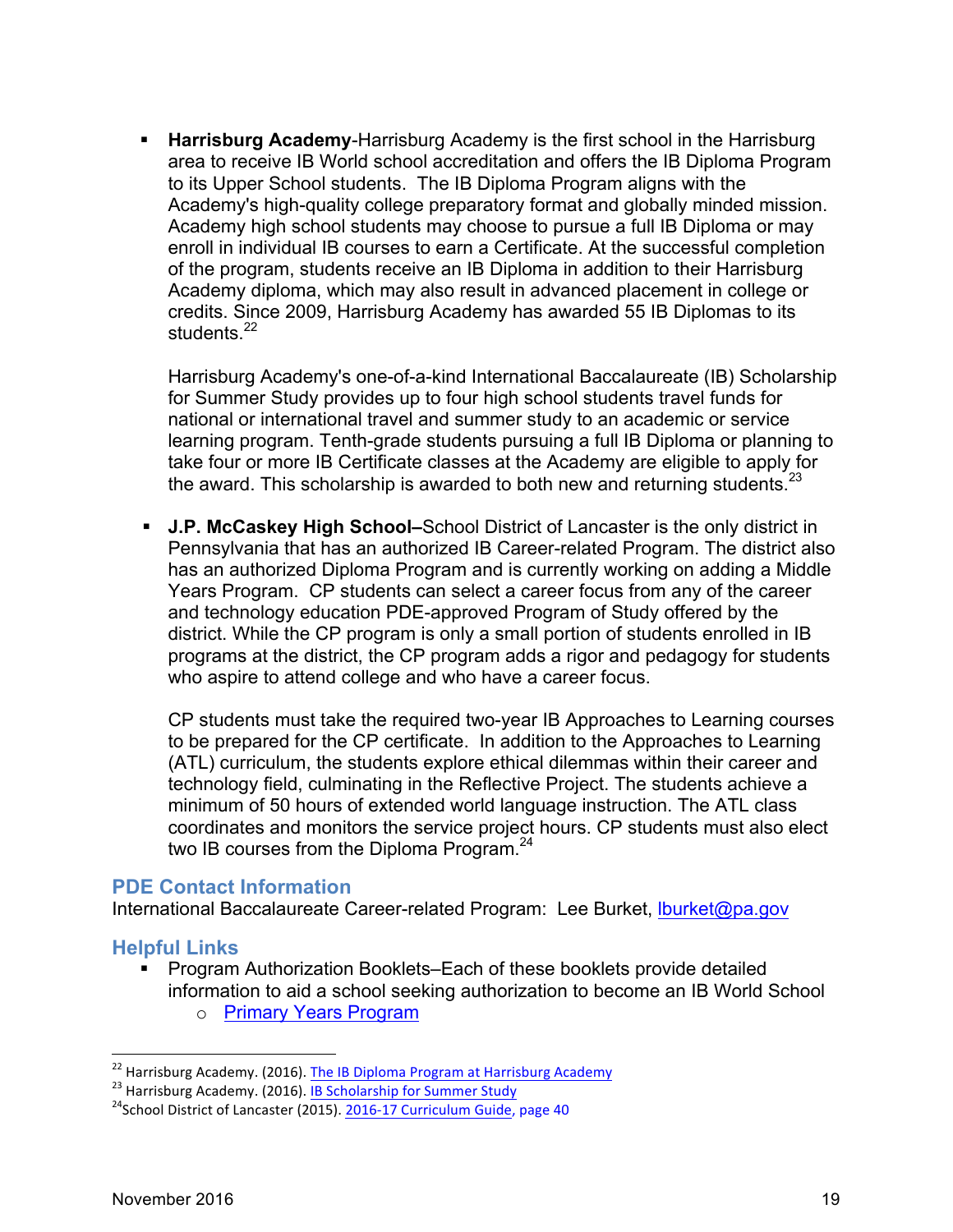§ **Harrisburg Academy**-Harrisburg Academy is the first school in the Harrisburg area to receive IB World school accreditation and offers the IB Diploma Program to its Upper School students. The IB Diploma Program aligns with the Academy's high-quality college preparatory format and globally minded mission. Academy high school students may choose to pursue a full IB Diploma or may enroll in individual IB courses to earn a Certificate. At the successful completion of the program, students receive an IB Diploma in addition to their Harrisburg Academy diploma, which may also result in advanced placement in college or credits. Since 2009, Harrisburg Academy has awarded 55 IB Diplomas to its students.<sup>22</sup>

Harrisburg Academy's one-of-a-kind International Baccalaureate (IB) Scholarship for Summer Study provides up to four high school students travel funds for national or international travel and summer study to an academic or service learning program. Tenth-grade students pursuing a full IB Diploma or planning to take four or more IB Certificate classes at the Academy are eligible to apply for the award. This scholarship is awarded to both new and returning students. $^{23}$ 

§ **J.P. McCaskey High School–**School District of Lancaster is the only district in Pennsylvania that has an authorized IB Career-related Program. The district also has an authorized Diploma Program and is currently working on adding a Middle Years Program. CP students can select a career focus from any of the career and technology education PDE-approved Program of Study offered by the district. While the CP program is only a small portion of students enrolled in IB programs at the district, the CP program adds a rigor and pedagogy for students who aspire to attend college and who have a career focus.

CP students must take the required two-year IB Approaches to Learning courses to be prepared for the CP certificate. In addition to the Approaches to Learning (ATL) curriculum, the students explore ethical dilemmas within their career and technology field, culminating in the Reflective Project. The students achieve a minimum of 50 hours of extended world language instruction. The ATL class coordinates and monitors the service project hours. CP students must also elect two IB courses from the Diploma Program.<sup>24</sup>

#### **PDE Contact Information**

International Baccalaureate Career-related Program: Lee Burket, Iburket@pa.gov

#### **Helpful Links**

■ Program Authorization Booklets–Each of these booklets provide detailed information to aid a school seeking authorization to become an IB World School o Primary Years Program

<sup>&</sup>lt;sup>22</sup> Harrisburg Academy. (2016). The IB Diploma Program at Harrisburg Academy<br><sup>23</sup> Harrisburg Academy. (2016). <u>IB Scholarship for Summer Study</u> 24School District of Lancaster (2015). 2016-17 Curriculum Guide, page 40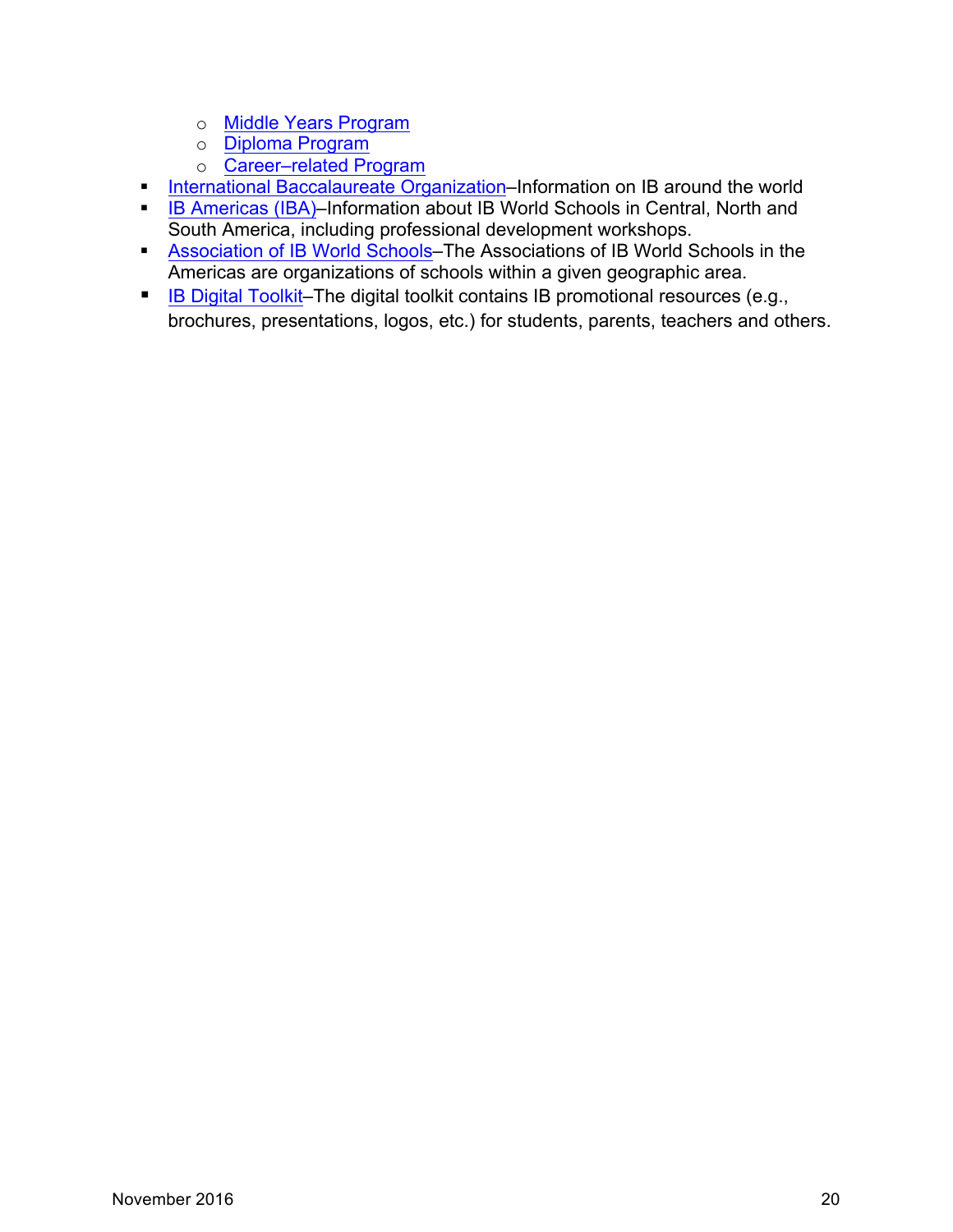- o Middle Years Program
- o Diploma Program
- o Career–related Program
- International Baccalaureate Organization–Information on IB around the world
- **IB Americas (IBA)–Information about IB World Schools in Central, North and** South America, including professional development workshops.
- Association of IB World Schools–The Associations of IB World Schools in the Americas are organizations of schools within a given geographic area.
- IB Digital Toolkit–The digital toolkit contains IB promotional resources (e.g., brochures, presentations, logos, etc.) for students, parents, teachers and others.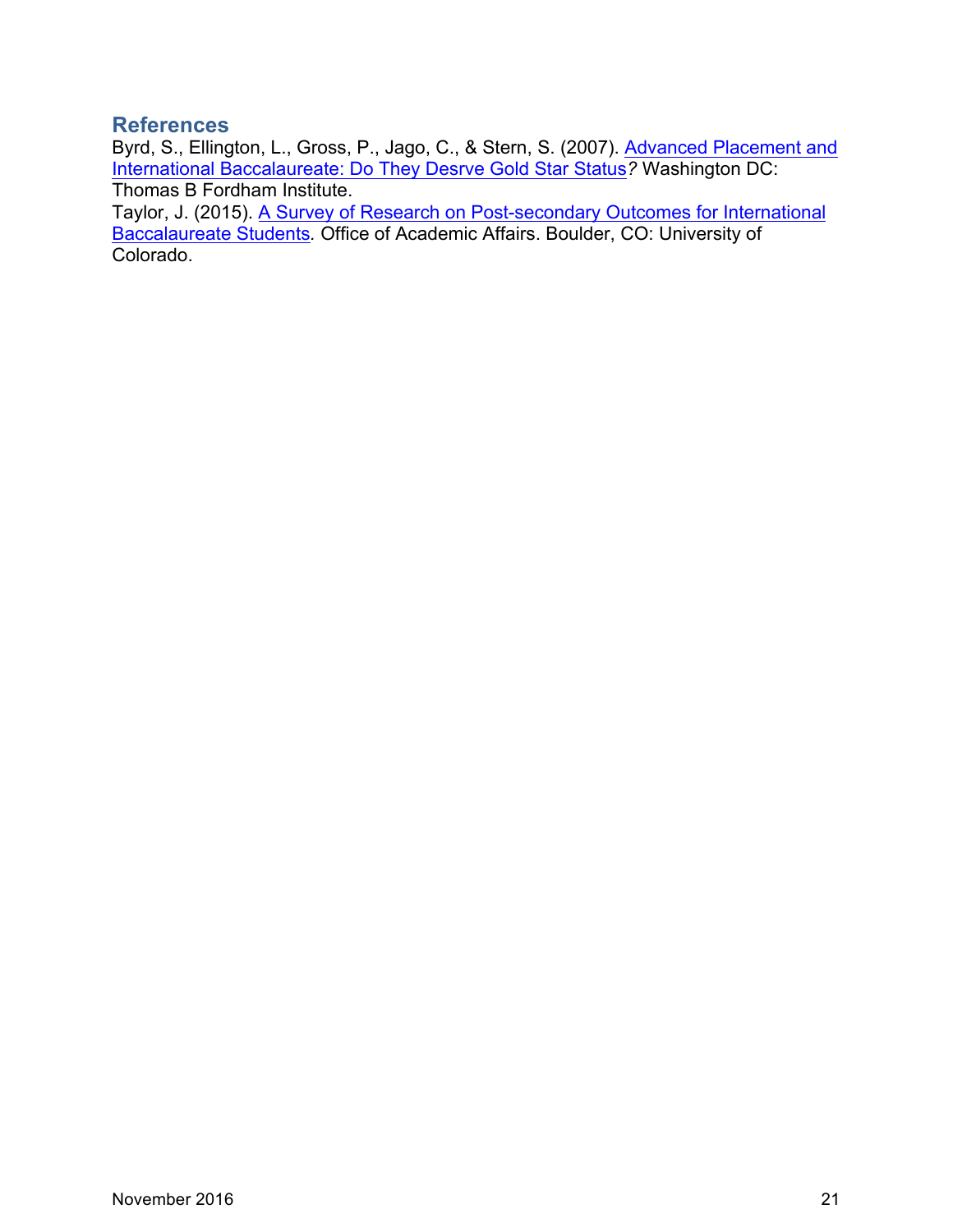### **References**

Byrd, S., Ellington, L., Gross, P., Jago, C., & Stern, S. (2007). Advanced Placement and International Baccalaureate: Do They Desrve Gold Star Status*?* Washington DC: Thomas B Fordham Institute.

Taylor, J. (2015). A Survey of Research on Post-secondary Outcomes for International Baccalaureate Students*.* Office of Academic Affairs. Boulder, CO: University of Colorado.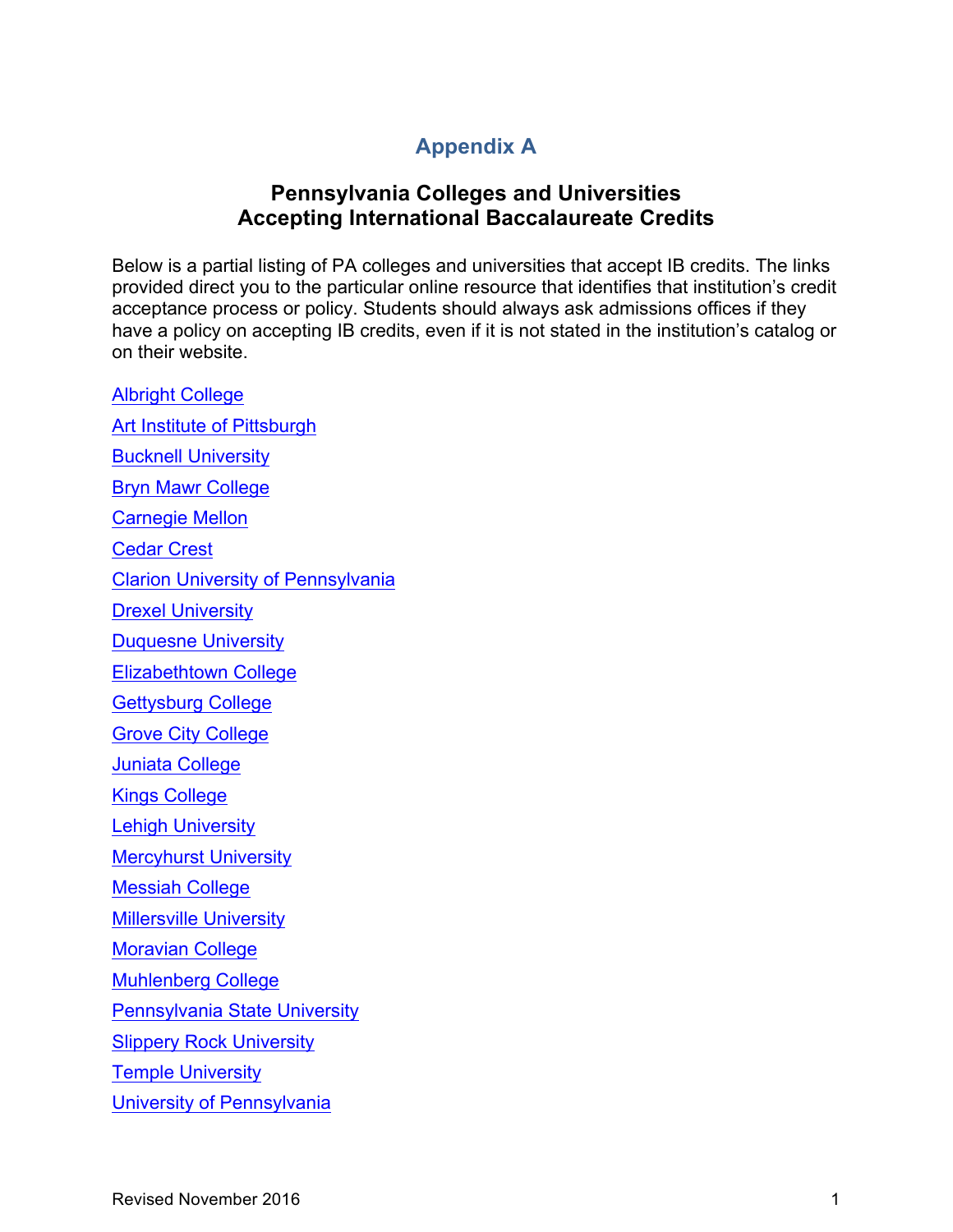# **Appendix A**

## **Pennsylvania Colleges and Universities Accepting International Baccalaureate Credits**

Below is a partial listing of PA colleges and universities that accept IB credits. The links provided direct you to the particular online resource that identifies that institution's credit acceptance process or policy. Students should always ask admissions offices if they have a policy on accepting IB credits, even if it is not stated in the institution's catalog or on their website.

Albright College Art Institute of Pittsburgh Bucknell University Bryn Mawr College Carnegie Mellon Cedar Crest Clarion University of Pennsylvania Drexel University Duquesne University Elizabethtown College Gettysburg College Grove City College Juniata College Kings College Lehigh University Mercyhurst University Messiah College Millersville University Moravian College Muhlenberg College Pennsylvania State University Slippery Rock University Temple University University of Pennsylvania